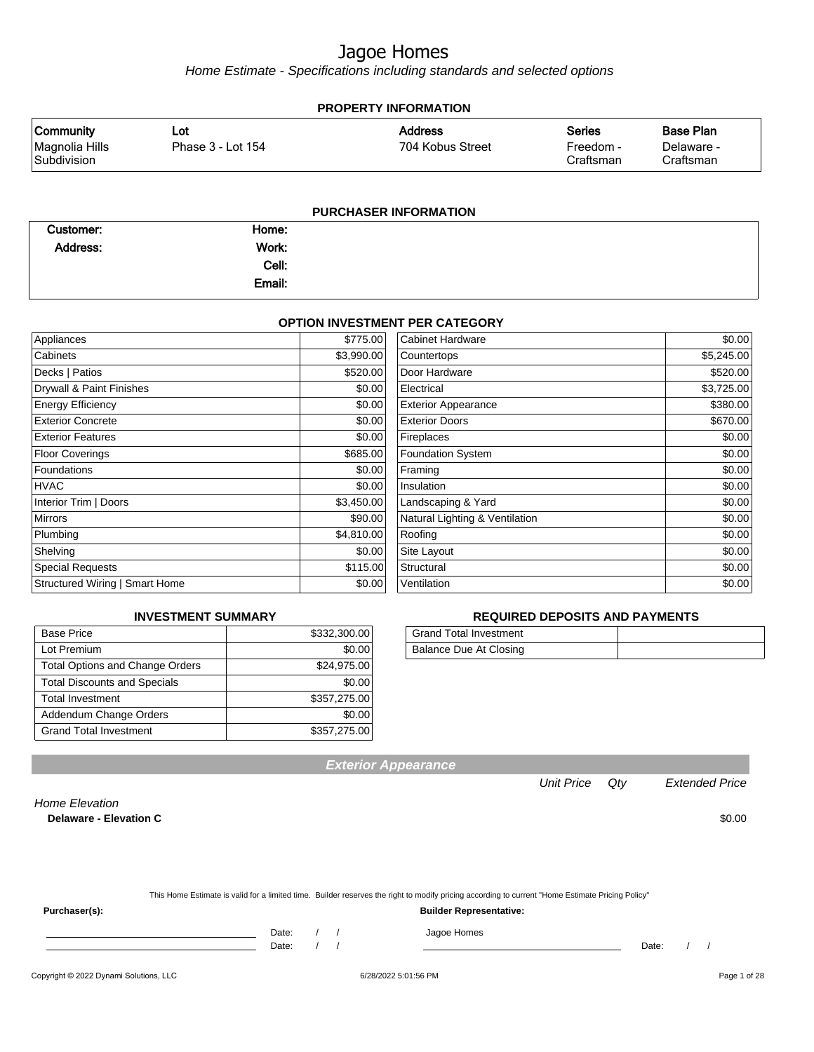Home Estimate - Specifications including standards and selected options

| <b>PROPERTY INFORMATION</b>                       |                          |                                    |                                         |                                             |  |
|---------------------------------------------------|--------------------------|------------------------------------|-----------------------------------------|---------------------------------------------|--|
| <b>Community</b><br>Magnolia Hills<br>Subdivision | Lot<br>Phase 3 - Lot 154 | <b>Address</b><br>704 Kobus Street | <b>Series</b><br>Freedom -<br>Craftsman | <b>Base Plan</b><br>Delaware -<br>Craftsman |  |
|                                                   |                          | <b>PURCHASER INFORMATION</b>       |                                         |                                             |  |
| $\sim$ $\sim$                                     | .                        |                                    |                                         |                                             |  |

| Customer:       | Home:  |  |
|-----------------|--------|--|
| <b>Address:</b> | Work:  |  |
|                 | Cell:  |  |
|                 | Email: |  |

#### **OPTION INVESTMENT PER CATEGORY**

| Appliances                     | \$775.00   | Cabinet Hardware               | \$0.00     |
|--------------------------------|------------|--------------------------------|------------|
| Cabinets                       | \$3,990.00 | Countertops                    | \$5,245.00 |
| Decks   Patios                 | \$520.00   | Door Hardware                  | \$520.00   |
| Drywall & Paint Finishes       | \$0.00     | Electrical                     | \$3,725.00 |
| <b>Energy Efficiency</b>       | \$0.00     | <b>Exterior Appearance</b>     | \$380.00   |
| <b>Exterior Concrete</b>       | \$0.00     | <b>Exterior Doors</b>          | \$670.00   |
| <b>Exterior Features</b>       | \$0.00     | Fireplaces                     | \$0.00     |
| <b>Floor Coverings</b>         | \$685.00   | Foundation System              | \$0.00     |
| Foundations                    | \$0.00     | Framing                        | \$0.00     |
| HVAC                           | \$0.00     | Insulation                     | \$0.00     |
| Interior Trim   Doors          | \$3,450.00 | Landscaping & Yard             | \$0.00     |
| <b>Mirrors</b>                 | \$90.00    | Natural Lighting & Ventilation | \$0.00     |
| Plumbing                       | \$4,810.00 | Roofing                        | \$0.00     |
| Shelving                       | \$0.00     | Site Layout                    | \$0.00     |
| <b>Special Requests</b>        | \$115.00   | Structural                     | \$0.00     |
| Structured Wiring   Smart Home | \$0.00     | Ventilation                    | \$0.00     |

#### **INVESTMENT SUMMARY**

| <b>Base Price</b>                      | \$332,300.00 |
|----------------------------------------|--------------|
| Lot Premium                            | \$0.00       |
| <b>Total Options and Change Orders</b> | \$24,975.00  |
| <b>Total Discounts and Specials</b>    | \$0.00       |
| <b>Total Investment</b>                | \$357,275.00 |
| Addendum Change Orders                 | \$0.00       |
| <b>Grand Total Investment</b>          | \$357,275.00 |

#### **REQUIRED DEPOSITS AND PAYMENTS**

| <b>Grand Total Investment</b> |  |
|-------------------------------|--|
| Balance Due At Closing        |  |

**Exterior Appearance**

Unit Price Qty Extended Price

Home Elevation

**Delaware - Elevation C** \$0.00

|               | This Home Estimate is valid for a limited time. Builder reserves the right to modify pricing according to current "Home Estimate Pricing Policy" |
|---------------|--------------------------------------------------------------------------------------------------------------------------------------------------|
| Purchaser(s): | <b>Builder Representative:</b>                                                                                                                   |
|               | Jagoe Homes<br>Date:                                                                                                                             |

Copyright © 2022 Dynami Solutions, LLC <br>
6/28/2022 5:01:56 PM Page 1 of 28

Date: / / Date: / /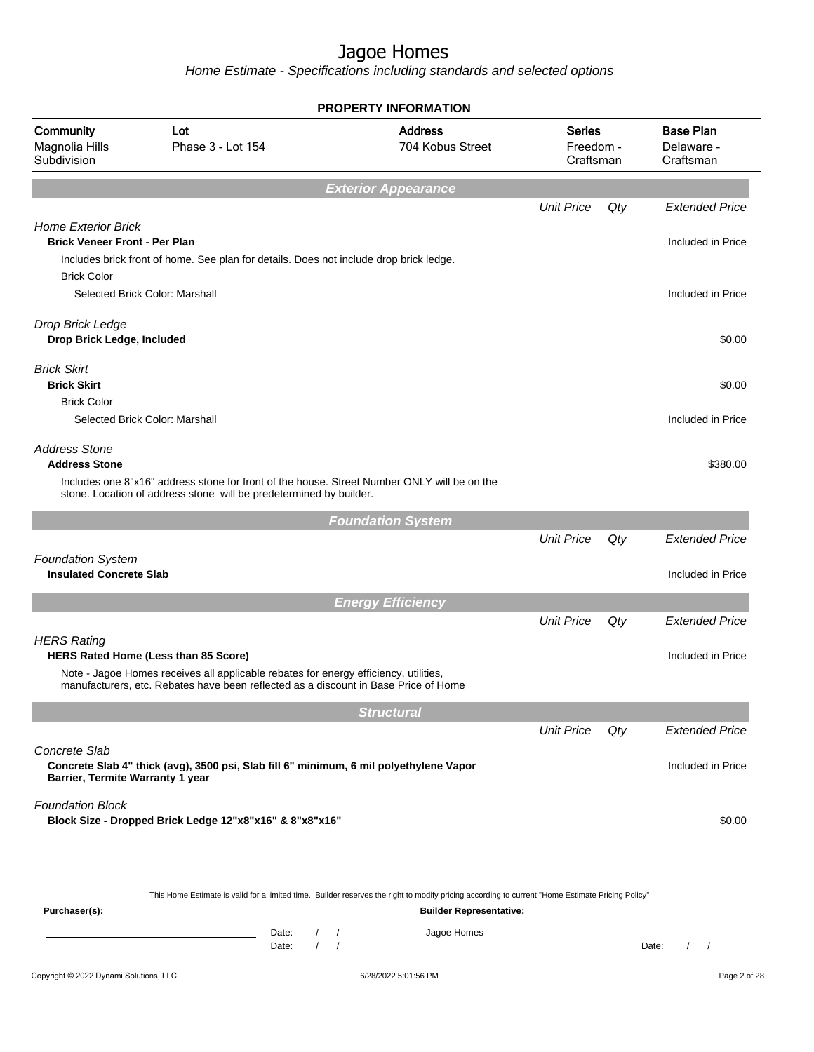|                                                                    |                                                                                                                                                                                                                            | <b>PROPERTY INFORMATION</b>                                                                                                                                                        |                                         |     |                                             |
|--------------------------------------------------------------------|----------------------------------------------------------------------------------------------------------------------------------------------------------------------------------------------------------------------------|------------------------------------------------------------------------------------------------------------------------------------------------------------------------------------|-----------------------------------------|-----|---------------------------------------------|
| Community<br>Magnolia Hills<br>Subdivision                         | Lot<br>Phase 3 - Lot 154                                                                                                                                                                                                   | <b>Address</b><br>704 Kobus Street                                                                                                                                                 | <b>Series</b><br>Freedom -<br>Craftsman |     | <b>Base Plan</b><br>Delaware -<br>Craftsman |
|                                                                    |                                                                                                                                                                                                                            | <b>Exterior Appearance</b>                                                                                                                                                         |                                         |     |                                             |
|                                                                    |                                                                                                                                                                                                                            |                                                                                                                                                                                    | <b>Unit Price</b>                       | Qty | <b>Extended Price</b>                       |
| <b>Home Exterior Brick</b><br><b>Brick Veneer Front - Per Plan</b> |                                                                                                                                                                                                                            |                                                                                                                                                                                    |                                         |     | Included in Price                           |
|                                                                    | Includes brick front of home. See plan for details. Does not include drop brick ledge.                                                                                                                                     |                                                                                                                                                                                    |                                         |     |                                             |
| <b>Brick Color</b>                                                 | Selected Brick Color: Marshall                                                                                                                                                                                             |                                                                                                                                                                                    |                                         |     | Included in Price                           |
|                                                                    |                                                                                                                                                                                                                            |                                                                                                                                                                                    |                                         |     |                                             |
| Drop Brick Ledge<br>Drop Brick Ledge, Included                     |                                                                                                                                                                                                                            |                                                                                                                                                                                    |                                         |     | \$0.00                                      |
| <b>Brick Skirt</b><br><b>Brick Skirt</b>                           |                                                                                                                                                                                                                            |                                                                                                                                                                                    |                                         |     | \$0.00                                      |
| <b>Brick Color</b>                                                 |                                                                                                                                                                                                                            |                                                                                                                                                                                    |                                         |     |                                             |
|                                                                    | Selected Brick Color: Marshall                                                                                                                                                                                             |                                                                                                                                                                                    |                                         |     | Included in Price                           |
| <b>Address Stone</b><br><b>Address Stone</b>                       |                                                                                                                                                                                                                            |                                                                                                                                                                                    |                                         |     | \$380.00                                    |
|                                                                    | Includes one 8"x16" address stone for front of the house. Street Number ONLY will be on the<br>stone. Location of address stone will be predetermined by builder.                                                          |                                                                                                                                                                                    |                                         |     |                                             |
|                                                                    |                                                                                                                                                                                                                            | <b>Foundation System</b>                                                                                                                                                           |                                         |     |                                             |
|                                                                    |                                                                                                                                                                                                                            |                                                                                                                                                                                    | <b>Unit Price</b>                       | Qty | <b>Extended Price</b>                       |
| <b>Foundation System</b><br><b>Insulated Concrete Slab</b>         |                                                                                                                                                                                                                            |                                                                                                                                                                                    |                                         |     | Included in Price                           |
|                                                                    |                                                                                                                                                                                                                            | <b>Energy Efficiency</b>                                                                                                                                                           |                                         |     |                                             |
|                                                                    |                                                                                                                                                                                                                            |                                                                                                                                                                                    | <b>Unit Price</b>                       | Qty | <b>Extended Price</b>                       |
| <b>HERS Rating</b>                                                 |                                                                                                                                                                                                                            |                                                                                                                                                                                    |                                         |     |                                             |
|                                                                    | <b>HERS Rated Home (Less than 85 Score)</b><br>Note - Jagoe Homes receives all applicable rebates for energy efficiency, utilities,<br>manufacturers, etc. Rebates have been reflected as a discount in Base Price of Home |                                                                                                                                                                                    |                                         |     | Included in Price                           |
|                                                                    |                                                                                                                                                                                                                            |                                                                                                                                                                                    |                                         |     |                                             |
|                                                                    |                                                                                                                                                                                                                            | <b>Structural</b>                                                                                                                                                                  | <b>Unit Price</b>                       | Qty | <b>Extended Price</b>                       |
| Concrete Slab                                                      |                                                                                                                                                                                                                            |                                                                                                                                                                                    |                                         |     |                                             |
| Barrier, Termite Warranty 1 year                                   | Concrete Slab 4" thick (avg), 3500 psi, Slab fill 6" minimum, 6 mil polyethylene Vapor                                                                                                                                     |                                                                                                                                                                                    |                                         |     | Included in Price                           |
| <b>Foundation Block</b>                                            | Block Size - Dropped Brick Ledge 12"x8"x16" & 8"x8"x16"                                                                                                                                                                    |                                                                                                                                                                                    |                                         |     | \$0.00                                      |
|                                                                    |                                                                                                                                                                                                                            |                                                                                                                                                                                    |                                         |     |                                             |
| Purchaser(s):                                                      |                                                                                                                                                                                                                            | This Home Estimate is valid for a limited time. Builder reserves the right to modify pricing according to current "Home Estimate Pricing Policy"<br><b>Builder Representative:</b> |                                         |     |                                             |
|                                                                    | Date:<br>$\sqrt{2}$<br><u> 1989 - Johann Barn, mars eta bainar eta idazlea (</u><br>$\prime$<br>Date:                                                                                                                      | Jagoe Homes<br>$\prime$<br>$\prime$                                                                                                                                                |                                         |     | $\sqrt{2}$<br>Date:<br>$\prime$             |
| Copyright © 2022 Dynami Solutions, LLC                             |                                                                                                                                                                                                                            | 6/28/2022 5:01:56 PM                                                                                                                                                               |                                         |     | Page 2 of 28                                |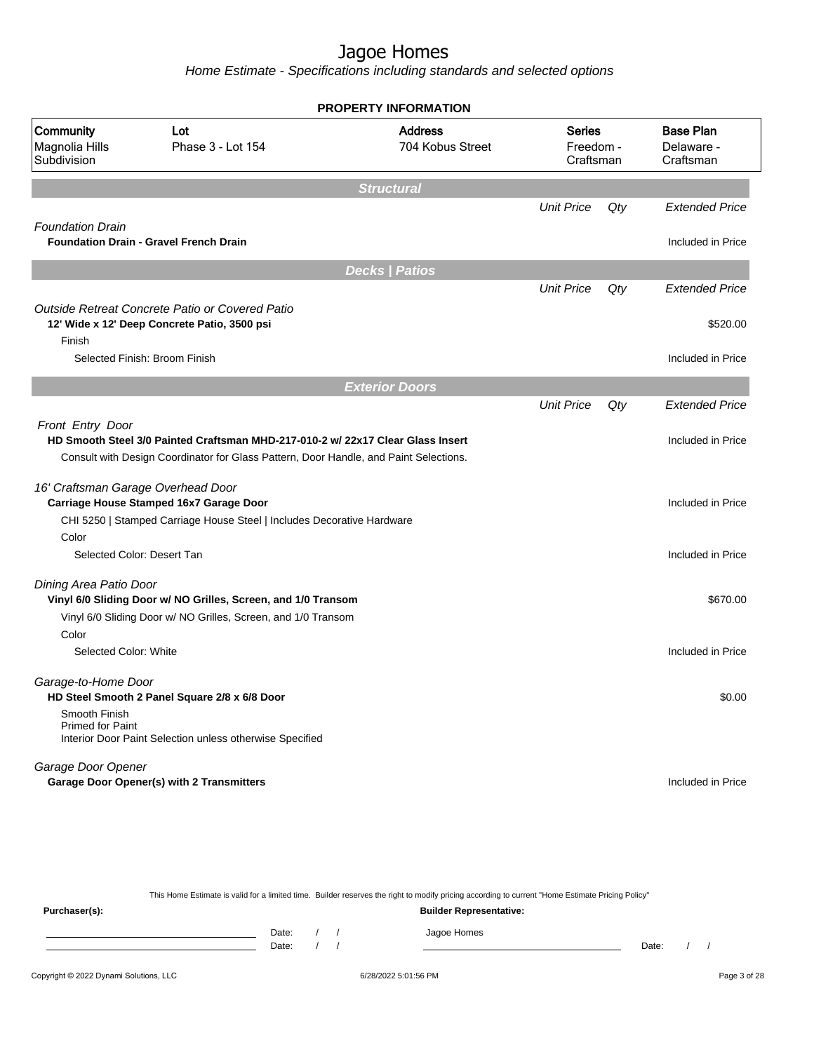Home Estimate - Specifications including standards and selected options

|                                                          |                                                                                                                                                                          | <b>PROPERTY INFORMATION</b>        |                                         |     |                                             |
|----------------------------------------------------------|--------------------------------------------------------------------------------------------------------------------------------------------------------------------------|------------------------------------|-----------------------------------------|-----|---------------------------------------------|
| <b>Community</b><br>Magnolia Hills<br>Subdivision        | Lot<br>Phase 3 - Lot 154                                                                                                                                                 | <b>Address</b><br>704 Kobus Street | <b>Series</b><br>Freedom -<br>Craftsman |     | <b>Base Plan</b><br>Delaware -<br>Craftsman |
|                                                          |                                                                                                                                                                          | <b>Structural</b>                  |                                         |     |                                             |
|                                                          |                                                                                                                                                                          |                                    | <b>Unit Price</b>                       | Qty | <b>Extended Price</b>                       |
| <b>Foundation Drain</b>                                  | <b>Foundation Drain - Gravel French Drain</b>                                                                                                                            |                                    |                                         |     | Included in Price                           |
|                                                          |                                                                                                                                                                          | <b>Decks   Patios</b>              |                                         |     |                                             |
|                                                          | Outside Retreat Concrete Patio or Covered Patio                                                                                                                          |                                    | <b>Unit Price</b>                       | Qty | <b>Extended Price</b>                       |
| Finish                                                   | 12' Wide x 12' Deep Concrete Patio, 3500 psi                                                                                                                             |                                    |                                         |     | \$520.00                                    |
|                                                          | Selected Finish: Broom Finish                                                                                                                                            |                                    |                                         |     | Included in Price                           |
|                                                          |                                                                                                                                                                          | <b>Exterior Doors</b>              |                                         |     |                                             |
|                                                          |                                                                                                                                                                          |                                    | <b>Unit Price</b>                       | Qty | <b>Extended Price</b>                       |
| Front Entry Door                                         | HD Smooth Steel 3/0 Painted Craftsman MHD-217-010-2 w/ 22x17 Clear Glass Insert<br>Consult with Design Coordinator for Glass Pattern, Door Handle, and Paint Selections. |                                    |                                         |     | Included in Price                           |
| 16' Craftsman Garage Overhead Door                       | Carriage House Stamped 16x7 Garage Door                                                                                                                                  |                                    |                                         |     | Included in Price                           |
| Color                                                    | CHI 5250   Stamped Carriage House Steel   Includes Decorative Hardware                                                                                                   |                                    |                                         |     |                                             |
| Selected Color: Desert Tan                               |                                                                                                                                                                          |                                    |                                         |     | Included in Price                           |
| Dining Area Patio Door                                   | Vinyl 6/0 Sliding Door w/ NO Grilles, Screen, and 1/0 Transom<br>Vinyl 6/0 Sliding Door w/ NO Grilles, Screen, and 1/0 Transom                                           |                                    |                                         |     | \$670.00                                    |
| Color<br>Selected Color: White                           |                                                                                                                                                                          |                                    |                                         |     | Included in Price                           |
| Garage-to-Home Door<br>Smooth Finish<br>Primed for Paint | HD Steel Smooth 2 Panel Square 2/8 x 6/8 Door<br>Interior Door Paint Selection unless otherwise Specified                                                                |                                    |                                         |     | \$0.00                                      |
| Garage Door Opener                                       | <b>Garage Door Opener(s) with 2 Transmitters</b>                                                                                                                         |                                    |                                         |     | Included in Price                           |

This Home Estimate is valid for a limited time. Builder reserves the right to modify pricing according to current "Home Estimate Pricing Policy" **Purchaser(s): Builder Representative:** Date: / / Jagoe Homes<br>Date: / / Jagoe Homes Date: / / Date: / /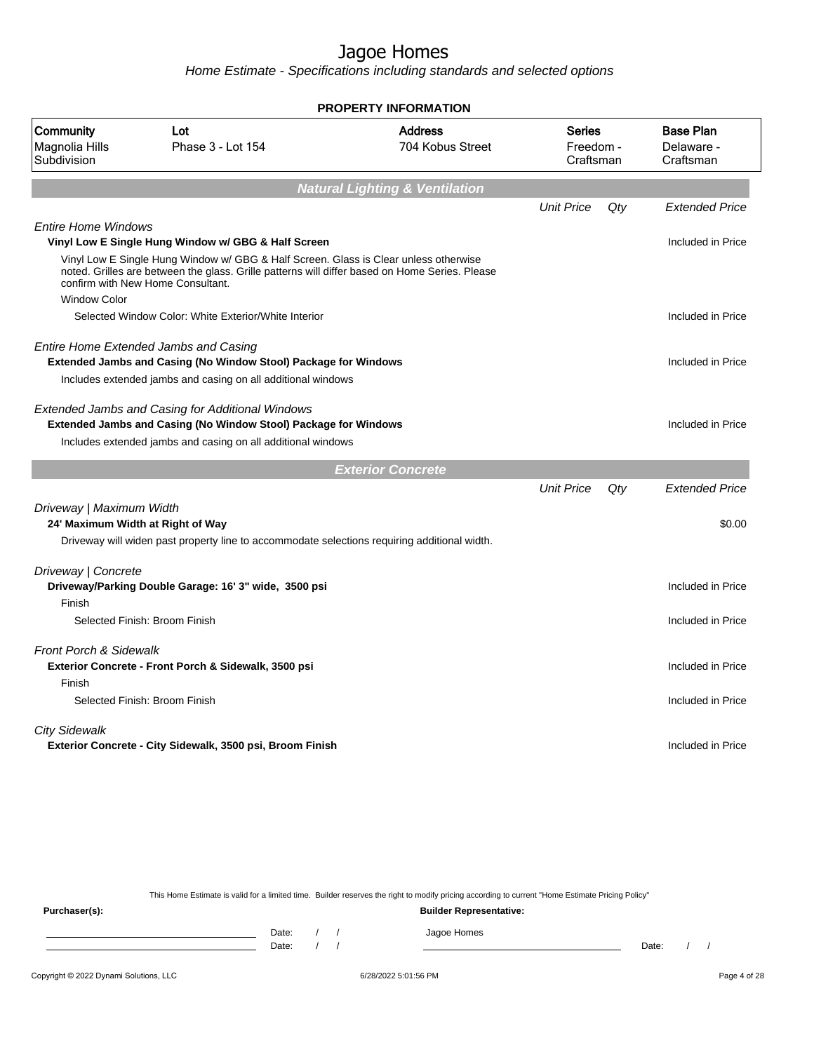Home Estimate - Specifications including standards and selected options

|                                            |                                                                                                                                                                                                                             | <b>PROPERTY INFORMATION</b>               |                                         |     |                                             |
|--------------------------------------------|-----------------------------------------------------------------------------------------------------------------------------------------------------------------------------------------------------------------------------|-------------------------------------------|-----------------------------------------|-----|---------------------------------------------|
| Community<br>Magnolia Hills<br>Subdivision | Lot<br>Phase 3 - Lot 154                                                                                                                                                                                                    | <b>Address</b><br>704 Kobus Street        | <b>Series</b><br>Freedom -<br>Craftsman |     | <b>Base Plan</b><br>Delaware -<br>Craftsman |
|                                            |                                                                                                                                                                                                                             | <b>Natural Lighting &amp; Ventilation</b> |                                         |     |                                             |
|                                            |                                                                                                                                                                                                                             |                                           | <b>Unit Price</b>                       | Qty | <b>Extended Price</b>                       |
| <b>Entire Home Windows</b>                 | Vinyl Low E Single Hung Window w/ GBG & Half Screen                                                                                                                                                                         |                                           |                                         |     | Included in Price                           |
|                                            | Vinyl Low E Single Hung Window w/ GBG & Half Screen. Glass is Clear unless otherwise<br>noted. Grilles are between the glass. Grille patterns will differ based on Home Series. Please<br>confirm with New Home Consultant. |                                           |                                         |     |                                             |
| <b>Window Color</b>                        |                                                                                                                                                                                                                             |                                           |                                         |     |                                             |
|                                            | Selected Window Color: White Exterior/White Interior                                                                                                                                                                        |                                           |                                         |     | Included in Price                           |
|                                            | Entire Home Extended Jambs and Casing                                                                                                                                                                                       |                                           |                                         |     |                                             |
|                                            | Extended Jambs and Casing (No Window Stool) Package for Windows                                                                                                                                                             |                                           |                                         |     | Included in Price                           |
|                                            | Includes extended jambs and casing on all additional windows                                                                                                                                                                |                                           |                                         |     |                                             |
|                                            | <b>Extended Jambs and Casing for Additional Windows</b><br>Extended Jambs and Casing (No Window Stool) Package for Windows                                                                                                  |                                           |                                         |     | Included in Price                           |
|                                            | Includes extended jambs and casing on all additional windows                                                                                                                                                                |                                           |                                         |     |                                             |
|                                            |                                                                                                                                                                                                                             | <b>Exterior Concrete</b>                  |                                         |     |                                             |
|                                            |                                                                                                                                                                                                                             |                                           | <b>Unit Price</b>                       | Qty | <b>Extended Price</b>                       |
| Driveway   Maximum Width                   |                                                                                                                                                                                                                             |                                           |                                         |     |                                             |
| 24' Maximum Width at Right of Way          |                                                                                                                                                                                                                             |                                           |                                         |     | \$0.00                                      |
|                                            | Driveway will widen past property line to accommodate selections requiring additional width.                                                                                                                                |                                           |                                         |     |                                             |
| Driveway   Concrete                        |                                                                                                                                                                                                                             |                                           |                                         |     |                                             |
|                                            | Driveway/Parking Double Garage: 16' 3" wide, 3500 psi                                                                                                                                                                       |                                           |                                         |     | Included in Price                           |
| Finish                                     |                                                                                                                                                                                                                             |                                           |                                         |     |                                             |
|                                            | Selected Finish: Broom Finish                                                                                                                                                                                               |                                           |                                         |     | Included in Price                           |
| <b>Front Porch &amp; Sidewalk</b>          |                                                                                                                                                                                                                             |                                           |                                         |     |                                             |
|                                            | Exterior Concrete - Front Porch & Sidewalk, 3500 psi                                                                                                                                                                        |                                           |                                         |     | Included in Price                           |
| Finish                                     |                                                                                                                                                                                                                             |                                           |                                         |     |                                             |
|                                            | Selected Finish: Broom Finish                                                                                                                                                                                               |                                           |                                         |     | Included in Price                           |
| <b>City Sidewalk</b>                       |                                                                                                                                                                                                                             |                                           |                                         |     |                                             |
|                                            | Exterior Concrete - City Sidewalk, 3500 psi, Broom Finish                                                                                                                                                                   |                                           |                                         |     | Included in Price                           |
|                                            |                                                                                                                                                                                                                             |                                           |                                         |     |                                             |
|                                            |                                                                                                                                                                                                                             |                                           |                                         |     |                                             |

This Home Estimate is valid for a limited time. Builder reserves the right to modify pricing according to current "Home Estimate Pricing Policy" **Purchaser(s): Builder Representative:** Date: / / Jagoe Homes<br>Date: / / Jagoe Homes Date: / / **Date: / / 2006** Date: / / **Date: / / / 2006** Date: / / / 2006 Date: / / / 2006 Date: / / / 2006 Date: / / / 2007 Date: / / / 2007 Date: / / / 2008 Date: / / / 2008 Date: / / / 2008 Date: / / / 2008 Date: / / / 2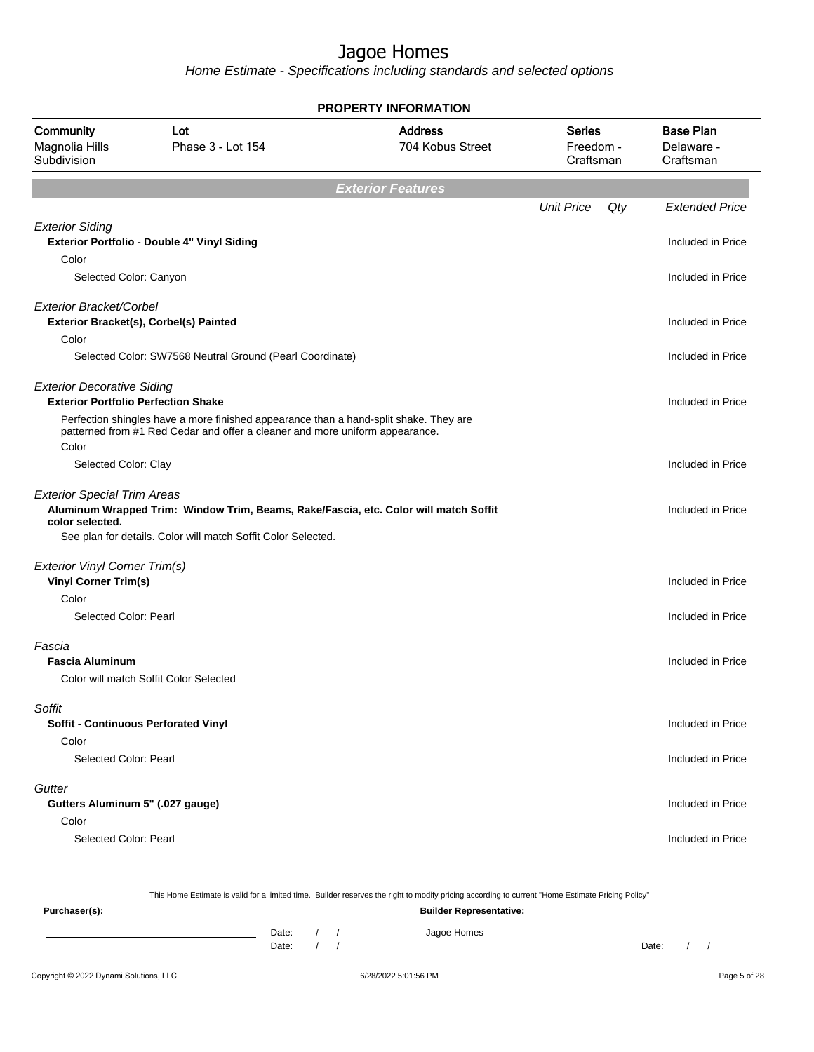Home Estimate - Specifications including standards and selected options

|                                                                                 |                                                                                                                                                                       | <b>PROPERTY INFORMATION</b>        |                                         |     |                                             |
|---------------------------------------------------------------------------------|-----------------------------------------------------------------------------------------------------------------------------------------------------------------------|------------------------------------|-----------------------------------------|-----|---------------------------------------------|
| Community<br>Magnolia Hills<br>Subdivision                                      | Lot<br>Phase 3 - Lot 154                                                                                                                                              | <b>Address</b><br>704 Kobus Street | <b>Series</b><br>Freedom -<br>Craftsman |     | <b>Base Plan</b><br>Delaware -<br>Craftsman |
|                                                                                 |                                                                                                                                                                       | <b>Exterior Features</b>           |                                         |     |                                             |
|                                                                                 |                                                                                                                                                                       |                                    | <b>Unit Price</b>                       | Qty | <b>Extended Price</b>                       |
| <b>Exterior Siding</b><br>Color                                                 | Exterior Portfolio - Double 4" Vinyl Siding                                                                                                                           |                                    |                                         |     | Included in Price                           |
| Selected Color: Canyon                                                          |                                                                                                                                                                       |                                    |                                         |     | Included in Price                           |
| Exterior Bracket/Corbel                                                         | Exterior Bracket(s), Corbel(s) Painted                                                                                                                                |                                    |                                         |     | Included in Price                           |
| Color                                                                           | Selected Color: SW7568 Neutral Ground (Pearl Coordinate)                                                                                                              |                                    |                                         |     | Included in Price                           |
| <b>Exterior Decorative Siding</b><br><b>Exterior Portfolio Perfection Shake</b> |                                                                                                                                                                       |                                    |                                         |     | Included in Price                           |
| Color                                                                           | Perfection shingles have a more finished appearance than a hand-split shake. They are<br>patterned from #1 Red Cedar and offer a cleaner and more uniform appearance. |                                    |                                         |     |                                             |
| Selected Color: Clay                                                            |                                                                                                                                                                       |                                    |                                         |     | Included in Price                           |
| <b>Exterior Special Trim Areas</b><br>color selected.                           | Aluminum Wrapped Trim: Window Trim, Beams, Rake/Fascia, etc. Color will match Soffit<br>See plan for details. Color will match Soffit Color Selected.                 |                                    |                                         |     | Included in Price                           |
| <b>Exterior Vinyl Corner Trim(s)</b>                                            |                                                                                                                                                                       |                                    |                                         |     |                                             |
| <b>Vinyl Corner Trim(s)</b><br>Color                                            |                                                                                                                                                                       |                                    |                                         |     | Included in Price                           |
| Selected Color: Pearl                                                           |                                                                                                                                                                       |                                    |                                         |     | Included in Price                           |
| Fascia<br><b>Fascia Aluminum</b>                                                | Color will match Soffit Color Selected                                                                                                                                |                                    |                                         |     | Included in Price                           |
| Soffit<br>Soffit - Continuous Perforated Vinyl                                  |                                                                                                                                                                       |                                    |                                         |     | Included in Price                           |
| Color<br>Selected Color: Pearl                                                  |                                                                                                                                                                       |                                    |                                         |     | Included in Price                           |
| Gutter<br>Gutters Aluminum 5" (.027 gauge)                                      |                                                                                                                                                                       |                                    |                                         |     | Included in Price                           |
| Color<br>Selected Color: Pearl                                                  |                                                                                                                                                                       |                                    |                                         |     | Included in Price                           |
|                                                                                 |                                                                                                                                                                       |                                    |                                         |     |                                             |

This Home Estimate is valid for a limited time. Builder reserves the right to modify pricing according to current "Home Estimate Pricing Policy" **Purchaser(s): Builder Representative:** Date: / / Jagoe Homes<br>Date: / / Jagoe Homes Date: / / **Date: / / 2006** Date: / / **Date: / / / 2006** Date: / / / 2006 Date: / / / 2006 Date: / / / 2006 Date: / / / 2007 Date: / / / 2007 Date: / / / 2008 Date: / / / 2008 Date: / / / 2008 Date: / / / 2008 Date: / / / 2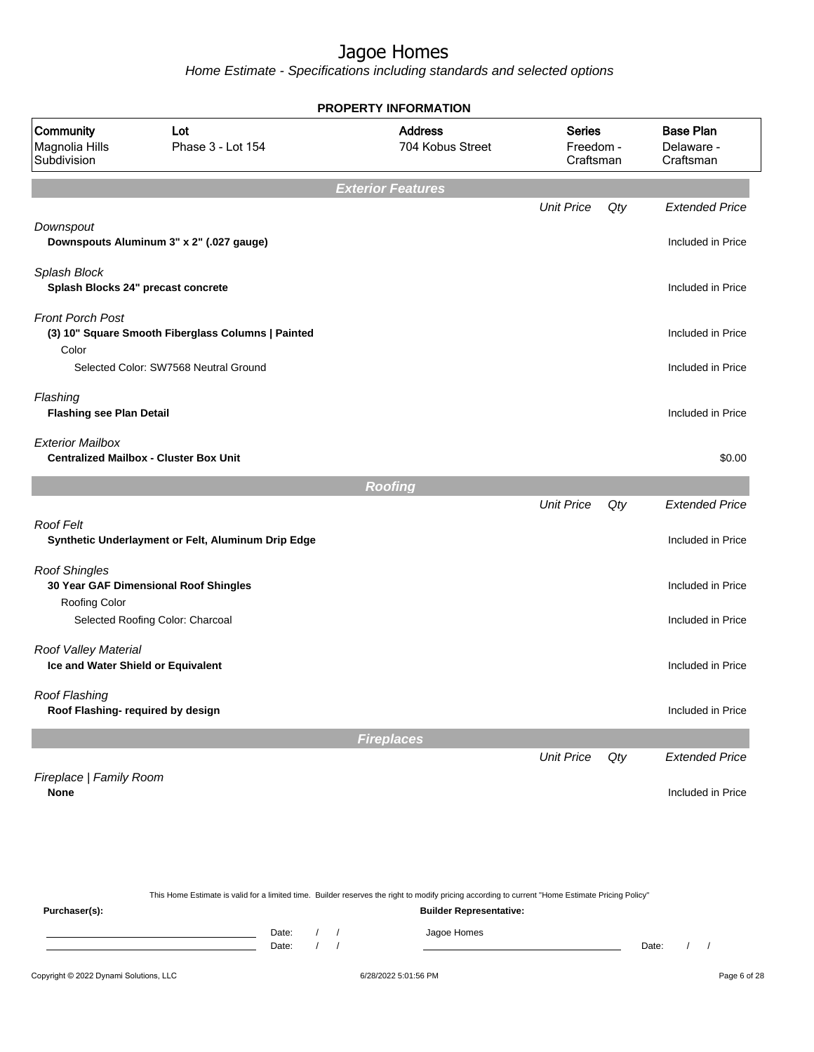|                                                            |                                                    |                |          | <b>PROPERTY INFORMATION</b>                                                                                                                                                        |                                         |     |                                             |
|------------------------------------------------------------|----------------------------------------------------|----------------|----------|------------------------------------------------------------------------------------------------------------------------------------------------------------------------------------|-----------------------------------------|-----|---------------------------------------------|
| Community<br>Magnolia Hills<br>Subdivision                 | Lot<br>Phase 3 - Lot 154                           |                |          | <b>Address</b><br>704 Kobus Street                                                                                                                                                 | <b>Series</b><br>Freedom -<br>Craftsman |     | <b>Base Plan</b><br>Delaware -<br>Craftsman |
|                                                            |                                                    |                |          | <b>Exterior Features</b>                                                                                                                                                           |                                         |     |                                             |
|                                                            |                                                    |                |          |                                                                                                                                                                                    | <b>Unit Price</b>                       | Qty | <b>Extended Price</b>                       |
| Downspout                                                  | Downspouts Aluminum 3" x 2" (.027 gauge)           |                |          |                                                                                                                                                                                    |                                         |     | Included in Price                           |
| Splash Block<br>Splash Blocks 24" precast concrete         |                                                    |                |          |                                                                                                                                                                                    |                                         |     | Included in Price                           |
| <b>Front Porch Post</b><br>Color                           | (3) 10" Square Smooth Fiberglass Columns   Painted |                |          |                                                                                                                                                                                    |                                         |     | Included in Price                           |
|                                                            | Selected Color: SW7568 Neutral Ground              |                |          |                                                                                                                                                                                    |                                         |     | Included in Price                           |
| Flashing<br><b>Flashing see Plan Detail</b>                |                                                    |                |          |                                                                                                                                                                                    |                                         |     | Included in Price                           |
| <b>Exterior Mailbox</b>                                    | <b>Centralized Mailbox - Cluster Box Unit</b>      |                |          |                                                                                                                                                                                    |                                         |     | \$0.00                                      |
|                                                            |                                                    |                |          | <b>Roofing</b>                                                                                                                                                                     |                                         |     |                                             |
|                                                            |                                                    |                |          |                                                                                                                                                                                    | <b>Unit Price</b>                       | Qty | <b>Extended Price</b>                       |
| <b>Roof Felt</b>                                           | Synthetic Underlayment or Felt, Aluminum Drip Edge |                |          |                                                                                                                                                                                    |                                         |     | Included in Price                           |
| <b>Roof Shingles</b><br>Roofing Color                      | 30 Year GAF Dimensional Roof Shingles              |                |          |                                                                                                                                                                                    |                                         |     | Included in Price                           |
|                                                            | Selected Roofing Color: Charcoal                   |                |          |                                                                                                                                                                                    |                                         |     | Included in Price                           |
| Roof Valley Material<br>Ice and Water Shield or Equivalent |                                                    |                |          |                                                                                                                                                                                    |                                         |     | Included in Price                           |
| Roof Flashing<br>Roof Flashing- required by design         |                                                    |                |          |                                                                                                                                                                                    |                                         |     | Included in Price                           |
|                                                            |                                                    |                |          | <b>Fireplaces</b>                                                                                                                                                                  |                                         |     |                                             |
|                                                            |                                                    |                |          |                                                                                                                                                                                    | <b>Unit Price</b>                       | Qty | <b>Extended Price</b>                       |
| Fireplace   Family Room<br><b>None</b>                     |                                                    |                |          |                                                                                                                                                                                    |                                         |     | Included in Price                           |
|                                                            |                                                    |                |          |                                                                                                                                                                                    |                                         |     |                                             |
| Purchaser(s):                                              |                                                    |                |          | This Home Estimate is valid for a limited time. Builder reserves the right to modify pricing according to current "Home Estimate Pricing Policy"<br><b>Builder Representative:</b> |                                         |     |                                             |
|                                                            |                                                    | Date:<br>Date: | $\prime$ | Jagoe Homes                                                                                                                                                                        |                                         |     | Date:                                       |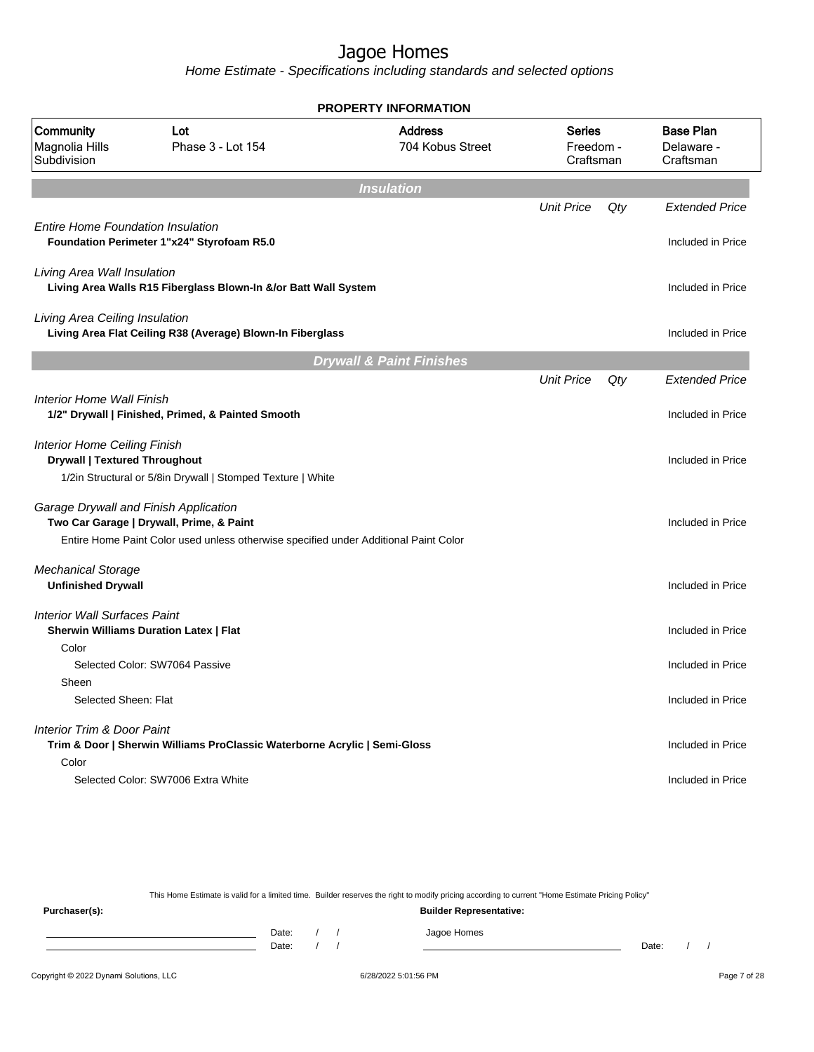Home Estimate - Specifications including standards and selected options

|                                                                             |                                                                                                                                  | <b>PROPERTY INFORMATION</b>         |                                         |     |                                             |
|-----------------------------------------------------------------------------|----------------------------------------------------------------------------------------------------------------------------------|-------------------------------------|-----------------------------------------|-----|---------------------------------------------|
| Community<br>Magnolia Hills<br>Subdivision                                  | Lot<br>Phase 3 - Lot 154                                                                                                         | <b>Address</b><br>704 Kobus Street  | <b>Series</b><br>Freedom -<br>Craftsman |     | <b>Base Plan</b><br>Delaware -<br>Craftsman |
|                                                                             |                                                                                                                                  | <b>Insulation</b>                   |                                         |     |                                             |
| <b>Entire Home Foundation Insulation</b>                                    |                                                                                                                                  |                                     | <b>Unit Price</b>                       | Qty | <b>Extended Price</b><br>Included in Price  |
|                                                                             | Foundation Perimeter 1"x24" Styrofoam R5.0                                                                                       |                                     |                                         |     |                                             |
| Living Area Wall Insulation                                                 | Living Area Walls R15 Fiberglass Blown-In &/or Batt Wall System                                                                  |                                     |                                         |     | Included in Price                           |
| Living Area Ceiling Insulation                                              | Living Area Flat Ceiling R38 (Average) Blown-In Fiberglass                                                                       |                                     |                                         |     | Included in Price                           |
|                                                                             |                                                                                                                                  | <b>Drywall &amp; Paint Finishes</b> |                                         |     |                                             |
|                                                                             |                                                                                                                                  |                                     | <b>Unit Price</b>                       | Qty | <b>Extended Price</b>                       |
| <b>Interior Home Wall Finish</b>                                            | 1/2" Drywall   Finished, Primed, & Painted Smooth                                                                                |                                     |                                         |     | Included in Price                           |
| <b>Interior Home Ceiling Finish</b><br><b>Drywall   Textured Throughout</b> | 1/2in Structural or 5/8in Drywall   Stomped Texture   White                                                                      |                                     |                                         |     | Included in Price                           |
| Garage Drywall and Finish Application                                       | Two Car Garage   Drywall, Prime, & Paint<br>Entire Home Paint Color used unless otherwise specified under Additional Paint Color |                                     |                                         |     | Included in Price                           |
| <b>Mechanical Storage</b><br><b>Unfinished Drywall</b>                      |                                                                                                                                  |                                     |                                         |     | Included in Price                           |
| <b>Interior Wall Surfaces Paint</b><br>Color                                | <b>Sherwin Williams Duration Latex   Flat</b>                                                                                    |                                     |                                         |     | Included in Price                           |
|                                                                             | Selected Color: SW7064 Passive                                                                                                   |                                     |                                         |     | Included in Price                           |
| Sheen<br>Selected Sheen: Flat                                               |                                                                                                                                  |                                     |                                         |     | Included in Price                           |
| <b>Interior Trim &amp; Door Paint</b>                                       | Trim & Door   Sherwin Williams ProClassic Waterborne Acrylic   Semi-Gloss                                                        |                                     |                                         |     | Included in Price                           |
| Color                                                                       | Selected Color: SW7006 Extra White                                                                                               |                                     |                                         |     | Included in Price                           |

This Home Estimate is valid for a limited time. Builder reserves the right to modify pricing according to current "Home Estimate Pricing Policy"

**Purchaser(s): Builder Representative:** Date: / / Jagoe Homes<br>Date: / / Jagoe Homes Date: / / **Date: / / 2006** Date: / / / Date: / / / Date: / / / 2006 Date: / / / 2006 Date: / / / 2006 Date: / / / 2006 Date: / / / 2007 Date: / / / 2007 Date: / / / 2007 Date: / / / 2007 Date: / / / 2007 Date: / / / 2007 D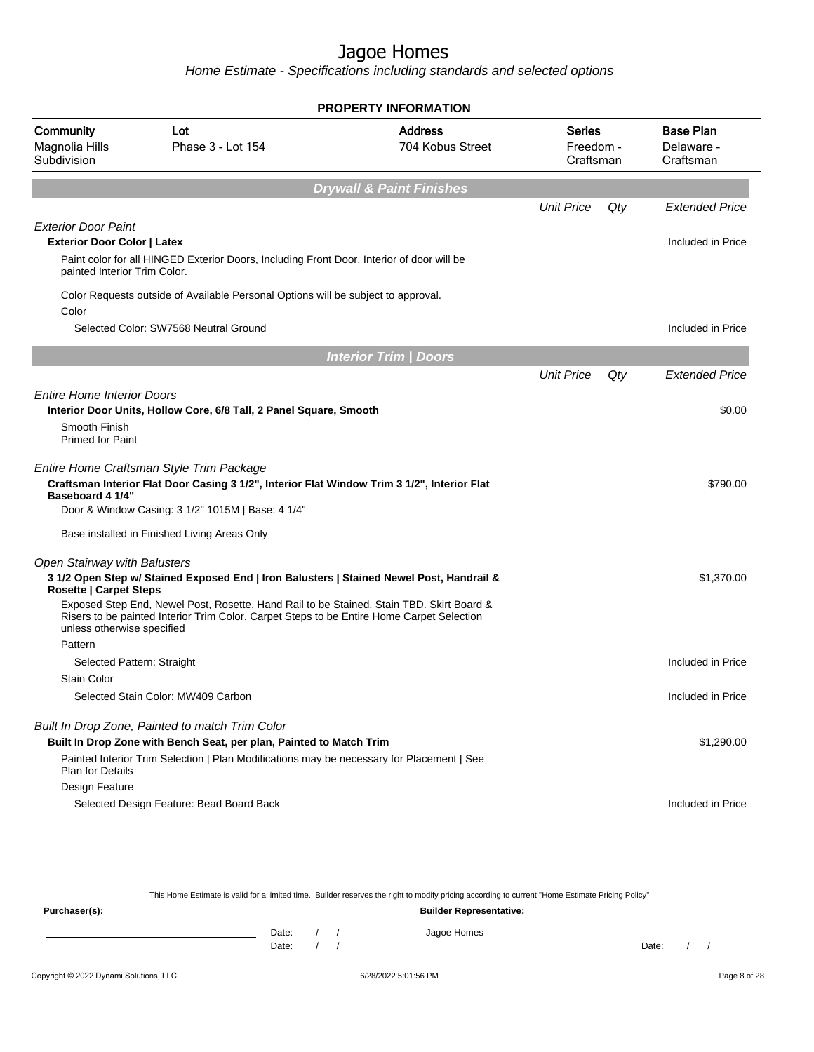Home Estimate - Specifications including standards and selected options

|                                                                               |                                                                                                                                                                                              | <b>PROPERTY INFORMATION</b>         |                                  |     |                                             |
|-------------------------------------------------------------------------------|----------------------------------------------------------------------------------------------------------------------------------------------------------------------------------------------|-------------------------------------|----------------------------------|-----|---------------------------------------------|
| Community<br>Magnolia Hills<br>Subdivision                                    | Lot<br>Phase 3 - Lot 154                                                                                                                                                                     | <b>Address</b><br>704 Kobus Street  | Series<br>Freedom -<br>Craftsman |     | <b>Base Plan</b><br>Delaware -<br>Craftsman |
|                                                                               |                                                                                                                                                                                              | <b>Drywall &amp; Paint Finishes</b> |                                  |     |                                             |
|                                                                               |                                                                                                                                                                                              |                                     | <b>Unit Price</b>                | Qty | <b>Extended Price</b>                       |
| <b>Exterior Door Paint</b>                                                    |                                                                                                                                                                                              |                                     |                                  |     |                                             |
| <b>Exterior Door Color   Latex</b>                                            |                                                                                                                                                                                              |                                     |                                  |     | Included in Price                           |
| painted Interior Trim Color.                                                  | Paint color for all HINGED Exterior Doors, Including Front Door. Interior of door will be                                                                                                    |                                     |                                  |     |                                             |
| Color                                                                         | Color Requests outside of Available Personal Options will be subject to approval.                                                                                                            |                                     |                                  |     |                                             |
|                                                                               | Selected Color: SW7568 Neutral Ground                                                                                                                                                        |                                     |                                  |     | Included in Price                           |
|                                                                               |                                                                                                                                                                                              | <b>Interior Trim / Doors</b>        |                                  |     |                                             |
|                                                                               |                                                                                                                                                                                              |                                     | <b>Unit Price</b>                | Qty | <b>Extended Price</b>                       |
| <b>Entire Home Interior Doors</b><br>Smooth Finish<br><b>Primed for Paint</b> | Interior Door Units, Hollow Core, 6/8 Tall, 2 Panel Square, Smooth                                                                                                                           |                                     |                                  |     | \$0.00                                      |
| <b>Baseboard 4 1/4"</b>                                                       | Entire Home Craftsman Style Trim Package<br>Craftsman Interior Flat Door Casing 3 1/2", Interior Flat Window Trim 3 1/2", Interior Flat<br>Door & Window Casing: 3 1/2" 1015M   Base: 4 1/4" |                                     |                                  |     | \$790.00                                    |
|                                                                               | Base installed in Finished Living Areas Only                                                                                                                                                 |                                     |                                  |     |                                             |
| Open Stairway with Balusters<br><b>Rosette   Carpet Steps</b>                 | 3 1/2 Open Step w/ Stained Exposed End   Iron Balusters   Stained Newel Post, Handrail &                                                                                                     |                                     |                                  |     | \$1,370.00                                  |
| unless otherwise specified                                                    | Exposed Step End, Newel Post, Rosette, Hand Rail to be Stained. Stain TBD. Skirt Board &<br>Risers to be painted Interior Trim Color. Carpet Steps to be Entire Home Carpet Selection        |                                     |                                  |     |                                             |
| Pattern                                                                       |                                                                                                                                                                                              |                                     |                                  |     |                                             |
| Selected Pattern: Straight                                                    |                                                                                                                                                                                              |                                     |                                  |     | Included in Price                           |
| <b>Stain Color</b>                                                            |                                                                                                                                                                                              |                                     |                                  |     |                                             |
|                                                                               | Selected Stain Color: MW409 Carbon                                                                                                                                                           |                                     |                                  |     | Included in Price                           |
|                                                                               | Built In Drop Zone, Painted to match Trim Color                                                                                                                                              |                                     |                                  |     |                                             |
|                                                                               | Built In Drop Zone with Bench Seat, per plan, Painted to Match Trim<br>Painted Interior Trim Selection   Plan Modifications may be necessary for Placement   See                             |                                     |                                  |     | \$1,290.00                                  |
| <b>Plan for Details</b>                                                       |                                                                                                                                                                                              |                                     |                                  |     |                                             |
| Design Feature                                                                |                                                                                                                                                                                              |                                     |                                  |     |                                             |
|                                                                               | Selected Design Feature: Bead Board Back                                                                                                                                                     |                                     |                                  |     | Included in Price                           |

This Home Estimate is valid for a limited time. Builder reserves the right to modify pricing according to current "Home Estimate Pricing Policy" **Purchaser(s): Builder Representative:** Date: / / Jagoe Homes<br>Date: / / Jagoe Homes Date: / / Date: / /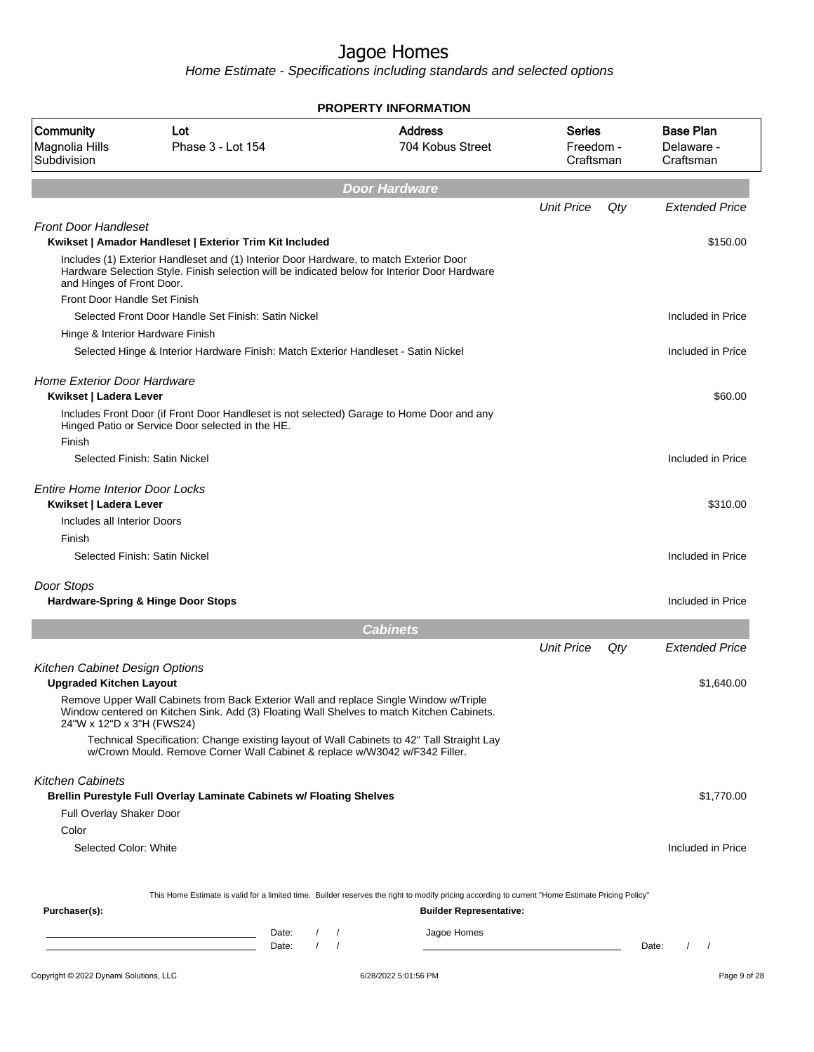|                                                                  |                                                                                                                                                                                         | <b>PROPERTY INFORMATION</b>                                                                                                                      |                                  |     |                                             |
|------------------------------------------------------------------|-----------------------------------------------------------------------------------------------------------------------------------------------------------------------------------------|--------------------------------------------------------------------------------------------------------------------------------------------------|----------------------------------|-----|---------------------------------------------|
| Community<br>Magnolia Hills<br>Subdivision                       | Lot<br>Phase 3 - Lot 154                                                                                                                                                                | <b>Address</b><br>704 Kobus Street                                                                                                               | Series<br>Freedom -<br>Craftsman |     | <b>Base Plan</b><br>Delaware -<br>Craftsman |
|                                                                  |                                                                                                                                                                                         | <b>Door Hardware</b>                                                                                                                             |                                  |     |                                             |
|                                                                  |                                                                                                                                                                                         |                                                                                                                                                  | <b>Unit Price</b>                | Qty | <b>Extended Price</b>                       |
| <b>Front Door Handleset</b>                                      | Kwikset   Amador Handleset   Exterior Trim Kit Included                                                                                                                                 |                                                                                                                                                  |                                  |     | \$150.00                                    |
| and Hinges of Front Door.                                        | Includes (1) Exterior Handleset and (1) Interior Door Hardware, to match Exterior Door<br>Hardware Selection Style. Finish selection will be indicated below for Interior Door Hardware |                                                                                                                                                  |                                  |     |                                             |
| Front Door Handle Set Finish                                     |                                                                                                                                                                                         |                                                                                                                                                  |                                  |     |                                             |
|                                                                  | Selected Front Door Handle Set Finish: Satin Nickel                                                                                                                                     |                                                                                                                                                  |                                  |     | Included in Price                           |
| Hinge & Interior Hardware Finish                                 |                                                                                                                                                                                         |                                                                                                                                                  |                                  |     |                                             |
|                                                                  | Selected Hinge & Interior Hardware Finish: Match Exterior Handleset - Satin Nickel                                                                                                      |                                                                                                                                                  |                                  |     | Included in Price                           |
| <b>Home Exterior Door Hardware</b><br>Kwikset   Ladera Lever     |                                                                                                                                                                                         |                                                                                                                                                  |                                  |     | \$60.00                                     |
| Finish                                                           | Includes Front Door (if Front Door Handleset is not selected) Garage to Home Door and any<br>Hinged Patio or Service Door selected in the HE.                                           |                                                                                                                                                  |                                  |     |                                             |
| Selected Finish: Satin Nickel                                    |                                                                                                                                                                                         |                                                                                                                                                  |                                  |     | Included in Price                           |
| <b>Entire Home Interior Door Locks</b><br>Kwikset   Ladera Lever |                                                                                                                                                                                         |                                                                                                                                                  |                                  |     | \$310.00                                    |
| Includes all Interior Doors<br>Finish                            |                                                                                                                                                                                         |                                                                                                                                                  |                                  |     |                                             |
|                                                                  | Selected Finish: Satin Nickel                                                                                                                                                           |                                                                                                                                                  |                                  |     | Included in Price                           |
| Door Stops                                                       | <b>Hardware-Spring &amp; Hinge Door Stops</b>                                                                                                                                           |                                                                                                                                                  |                                  |     | Included in Price                           |
|                                                                  |                                                                                                                                                                                         | <b>Cabinets</b>                                                                                                                                  |                                  |     |                                             |
|                                                                  |                                                                                                                                                                                         |                                                                                                                                                  | <b>Unit Price</b>                | Qty | <b>Extended Price</b>                       |
| Kitchen Cabinet Design Options<br><b>Upgraded Kitchen Layout</b> |                                                                                                                                                                                         |                                                                                                                                                  |                                  |     | \$1,640.00                                  |
| 24"W x 12"D x 3"H (FWS24)                                        | Remove Upper Wall Cabinets from Back Exterior Wall and replace Single Window w/Triple<br>Window centered on Kitchen Sink. Add (3) Floating Wall Shelves to match Kitchen Cabinets.      |                                                                                                                                                  |                                  |     |                                             |
|                                                                  | Technical Specification: Change existing layout of Wall Cabinets to 42" Tall Straight Lay<br>w/Crown Mould. Remove Corner Wall Cabinet & replace w/W3042 w/F342 Filler.                 |                                                                                                                                                  |                                  |     |                                             |
| <b>Kitchen Cabinets</b>                                          | <b>Brellin Purestyle Full Overlay Laminate Cabinets w/ Floating Shelves</b>                                                                                                             |                                                                                                                                                  |                                  |     | \$1,770.00                                  |
| Full Overlay Shaker Door                                         |                                                                                                                                                                                         |                                                                                                                                                  |                                  |     |                                             |
| Color                                                            |                                                                                                                                                                                         |                                                                                                                                                  |                                  |     |                                             |
| Selected Color: White                                            |                                                                                                                                                                                         |                                                                                                                                                  |                                  |     | Included in Price                           |
|                                                                  |                                                                                                                                                                                         | This Home Estimate is valid for a limited time. Builder reserves the right to modify pricing according to current "Home Estimate Pricing Policy" |                                  |     |                                             |
| Purchaser(s):                                                    |                                                                                                                                                                                         | <b>Builder Representative:</b>                                                                                                                   |                                  |     |                                             |
|                                                                  | Date:<br>$\frac{1}{2}$                                                                                                                                                                  | Jagoe Homes                                                                                                                                      |                                  |     |                                             |
|                                                                  | $\frac{1}{2}$<br>Date:                                                                                                                                                                  |                                                                                                                                                  |                                  |     | Date:<br>$\sqrt{ }$                         |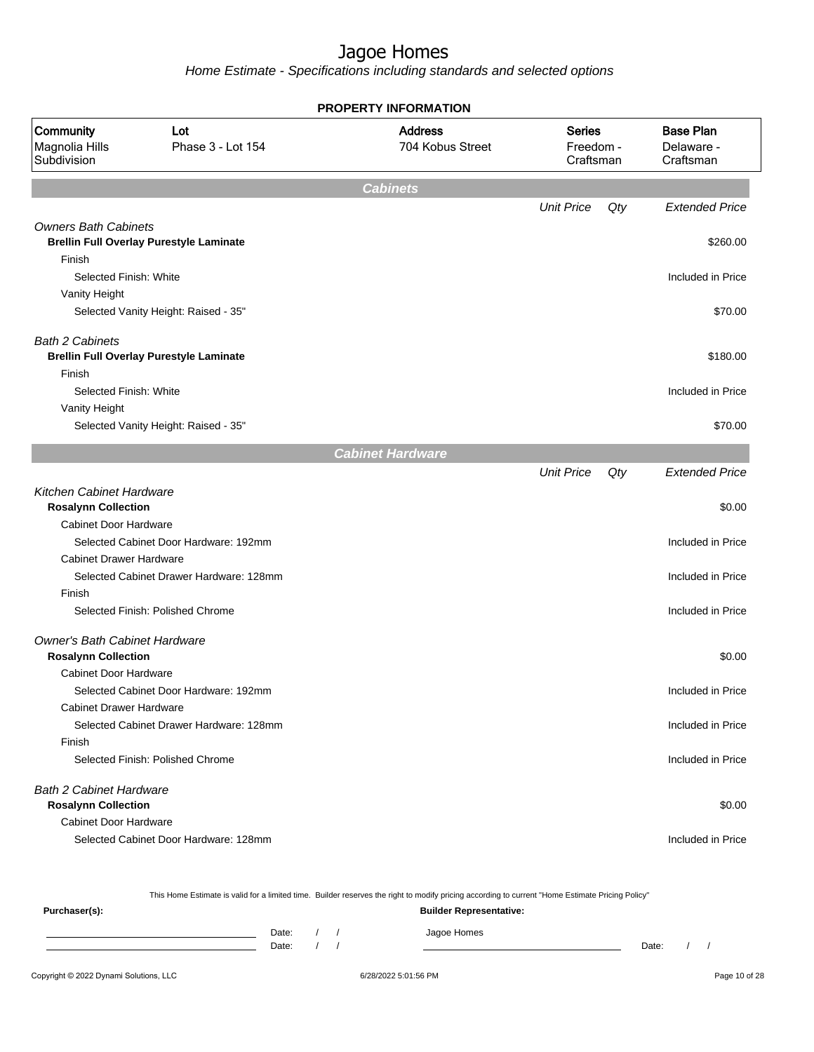Home Estimate - Specifications including standards and selected options

|                                                               |                                                | <b>PROPERTY INFORMATION</b>        |                                         |     |                                             |
|---------------------------------------------------------------|------------------------------------------------|------------------------------------|-----------------------------------------|-----|---------------------------------------------|
| Community<br>Magnolia Hills<br>Subdivision                    | Lot<br>Phase 3 - Lot 154                       | <b>Address</b><br>704 Kobus Street | <b>Series</b><br>Freedom -<br>Craftsman |     | <b>Base Plan</b><br>Delaware -<br>Craftsman |
|                                                               |                                                | <b>Cabinets</b>                    |                                         |     |                                             |
|                                                               |                                                |                                    | <b>Unit Price</b>                       | Qty | <b>Extended Price</b>                       |
| <b>Owners Bath Cabinets</b>                                   |                                                |                                    |                                         |     |                                             |
|                                                               | <b>Brellin Full Overlay Purestyle Laminate</b> |                                    |                                         |     | \$260.00                                    |
| Finish                                                        |                                                |                                    |                                         |     |                                             |
| Selected Finish: White                                        |                                                |                                    |                                         |     | Included in Price                           |
| Vanity Height                                                 | Selected Vanity Height: Raised - 35"           |                                    |                                         |     | \$70.00                                     |
|                                                               |                                                |                                    |                                         |     |                                             |
| <b>Bath 2 Cabinets</b>                                        |                                                |                                    |                                         |     |                                             |
|                                                               | <b>Brellin Full Overlay Purestyle Laminate</b> |                                    |                                         |     | \$180.00                                    |
| Finish                                                        |                                                |                                    |                                         |     |                                             |
| Selected Finish: White                                        |                                                |                                    |                                         |     | Included in Price                           |
| Vanity Height                                                 | Selected Vanity Height: Raised - 35"           |                                    |                                         |     | \$70.00                                     |
|                                                               |                                                |                                    |                                         |     |                                             |
|                                                               |                                                | <b>Cabinet Hardware</b>            |                                         |     |                                             |
|                                                               |                                                |                                    | <b>Unit Price</b>                       | Qty | <b>Extended Price</b>                       |
| <b>Kitchen Cabinet Hardware</b><br><b>Rosalynn Collection</b> |                                                |                                    |                                         |     | \$0.00                                      |
| <b>Cabinet Door Hardware</b>                                  |                                                |                                    |                                         |     |                                             |
|                                                               | Selected Cabinet Door Hardware: 192mm          |                                    |                                         |     | Included in Price                           |
| <b>Cabinet Drawer Hardware</b>                                |                                                |                                    |                                         |     |                                             |
|                                                               | Selected Cabinet Drawer Hardware: 128mm        |                                    |                                         |     | Included in Price                           |
| Finish                                                        | Selected Finish: Polished Chrome               |                                    |                                         |     |                                             |
|                                                               |                                                |                                    |                                         |     | Included in Price                           |
| Owner's Bath Cabinet Hardware                                 |                                                |                                    |                                         |     |                                             |
| <b>Rosalynn Collection</b>                                    |                                                |                                    |                                         |     | \$0.00                                      |
| Cabinet Door Hardware                                         |                                                |                                    |                                         |     |                                             |
|                                                               | Selected Cabinet Door Hardware: 192mm          |                                    |                                         |     | Included in Price                           |
| <b>Cabinet Drawer Hardware</b>                                |                                                |                                    |                                         |     |                                             |
| Finish                                                        | Selected Cabinet Drawer Hardware: 128mm        |                                    |                                         |     | Included in Price                           |
|                                                               | Selected Finish: Polished Chrome               |                                    |                                         |     | Included in Price                           |
|                                                               |                                                |                                    |                                         |     |                                             |
| <b>Bath 2 Cabinet Hardware</b>                                |                                                |                                    |                                         |     |                                             |
| <b>Rosalynn Collection</b>                                    |                                                |                                    |                                         |     | \$0.00                                      |
| <b>Cabinet Door Hardware</b>                                  |                                                |                                    |                                         |     |                                             |
|                                                               | Selected Cabinet Door Hardware: 128mm          |                                    |                                         |     | Included in Price                           |

This Home Estimate is valid for a limited time. Builder reserves the right to modify pricing according to current "Home Estimate Pricing Policy"

**Purchaser(s): Builder Representative:** Date: / / Jagoe Homes<br>Date: / / Jagoe Homes Date: / / Date: / /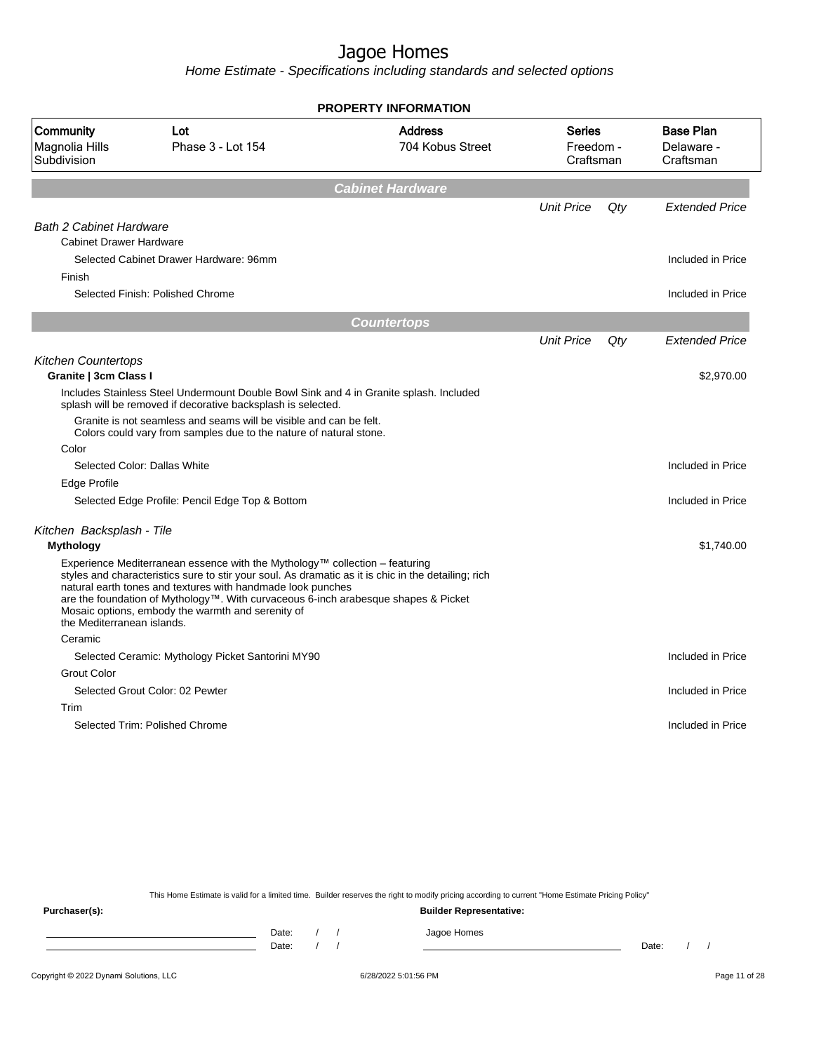Home Estimate - Specifications including standards and selected options

|                                                                                                                                                                                                                                                                                                                                                                                                                            | <b>PROPERTY INFORMATION</b>        |                                         |        |                                             |
|----------------------------------------------------------------------------------------------------------------------------------------------------------------------------------------------------------------------------------------------------------------------------------------------------------------------------------------------------------------------------------------------------------------------------|------------------------------------|-----------------------------------------|--------|---------------------------------------------|
| Community<br>Lot<br>Magnolia Hills<br>Phase 3 - Lot 154<br>Subdivision                                                                                                                                                                                                                                                                                                                                                     | <b>Address</b><br>704 Kobus Street | <b>Series</b><br>Freedom -<br>Craftsman |        | <b>Base Plan</b><br>Delaware -<br>Craftsman |
|                                                                                                                                                                                                                                                                                                                                                                                                                            | <b>Cabinet Hardware</b>            |                                         |        |                                             |
|                                                                                                                                                                                                                                                                                                                                                                                                                            |                                    | <b>Unit Price</b>                       | $Q$ ty | <b>Extended Price</b>                       |
| <b>Bath 2 Cabinet Hardware</b><br><b>Cabinet Drawer Hardware</b>                                                                                                                                                                                                                                                                                                                                                           |                                    |                                         |        |                                             |
| Selected Cabinet Drawer Hardware: 96mm<br>Finish                                                                                                                                                                                                                                                                                                                                                                           |                                    |                                         |        | Included in Price                           |
| Selected Finish: Polished Chrome                                                                                                                                                                                                                                                                                                                                                                                           |                                    |                                         |        | Included in Price                           |
|                                                                                                                                                                                                                                                                                                                                                                                                                            | <b>Countertops</b>                 |                                         |        |                                             |
|                                                                                                                                                                                                                                                                                                                                                                                                                            |                                    | <b>Unit Price</b>                       | Qty    | <b>Extended Price</b>                       |
| <b>Kitchen Countertops</b>                                                                                                                                                                                                                                                                                                                                                                                                 |                                    |                                         |        |                                             |
| Granite   3cm Class I                                                                                                                                                                                                                                                                                                                                                                                                      |                                    |                                         |        | \$2,970.00                                  |
| Includes Stainless Steel Undermount Double Bowl Sink and 4 in Granite splash. Included<br>splash will be removed if decorative backsplash is selected.                                                                                                                                                                                                                                                                     |                                    |                                         |        |                                             |
| Granite is not seamless and seams will be visible and can be felt.<br>Colors could vary from samples due to the nature of natural stone.                                                                                                                                                                                                                                                                                   |                                    |                                         |        |                                             |
| Color                                                                                                                                                                                                                                                                                                                                                                                                                      |                                    |                                         |        |                                             |
| Selected Color: Dallas White                                                                                                                                                                                                                                                                                                                                                                                               |                                    |                                         |        | Included in Price                           |
| Edge Profile                                                                                                                                                                                                                                                                                                                                                                                                               |                                    |                                         |        |                                             |
| Selected Edge Profile: Pencil Edge Top & Bottom                                                                                                                                                                                                                                                                                                                                                                            |                                    |                                         |        | Included in Price                           |
| Kitchen Backsplash - Tile                                                                                                                                                                                                                                                                                                                                                                                                  |                                    |                                         |        |                                             |
| <b>Mythology</b>                                                                                                                                                                                                                                                                                                                                                                                                           |                                    |                                         |        | \$1,740.00                                  |
| Experience Mediterranean essence with the Mythology™ collection – featuring<br>styles and characteristics sure to stir your soul. As dramatic as it is chic in the detailing; rich<br>natural earth tones and textures with handmade look punches<br>are the foundation of Mythology™. With curvaceous 6-inch arabesque shapes & Picket<br>Mosaic options, embody the warmth and serenity of<br>the Mediterranean islands. |                                    |                                         |        |                                             |
| Ceramic                                                                                                                                                                                                                                                                                                                                                                                                                    |                                    |                                         |        |                                             |
| Selected Ceramic: Mythology Picket Santorini MY90                                                                                                                                                                                                                                                                                                                                                                          |                                    |                                         |        | Included in Price                           |
| <b>Grout Color</b>                                                                                                                                                                                                                                                                                                                                                                                                         |                                    |                                         |        |                                             |
| Selected Grout Color: 02 Pewter                                                                                                                                                                                                                                                                                                                                                                                            |                                    |                                         |        | Included in Price                           |
| Trim                                                                                                                                                                                                                                                                                                                                                                                                                       |                                    |                                         |        |                                             |
| Selected Trim: Polished Chrome                                                                                                                                                                                                                                                                                                                                                                                             |                                    |                                         |        | Included in Price                           |

This Home Estimate is valid for a limited time. Builder reserves the right to modify pricing according to current "Home Estimate Pricing Policy"

**Purchaser(s): Builder Representative:** Date: / / Jagoe Homes<br>Date: / / Jagoe Homes Date: / / **Date: / / 2006** Date: / / / Date: / / / Date: / / / 2006 Date: / / / 2006 Date: / / / 2006 Date: / / / 2006 Date: / / / 2007 Date: / / / 2007 Date: / / / 2007 Date: / / / 2007 Date: / / / 2007 Date: / / / 2007 D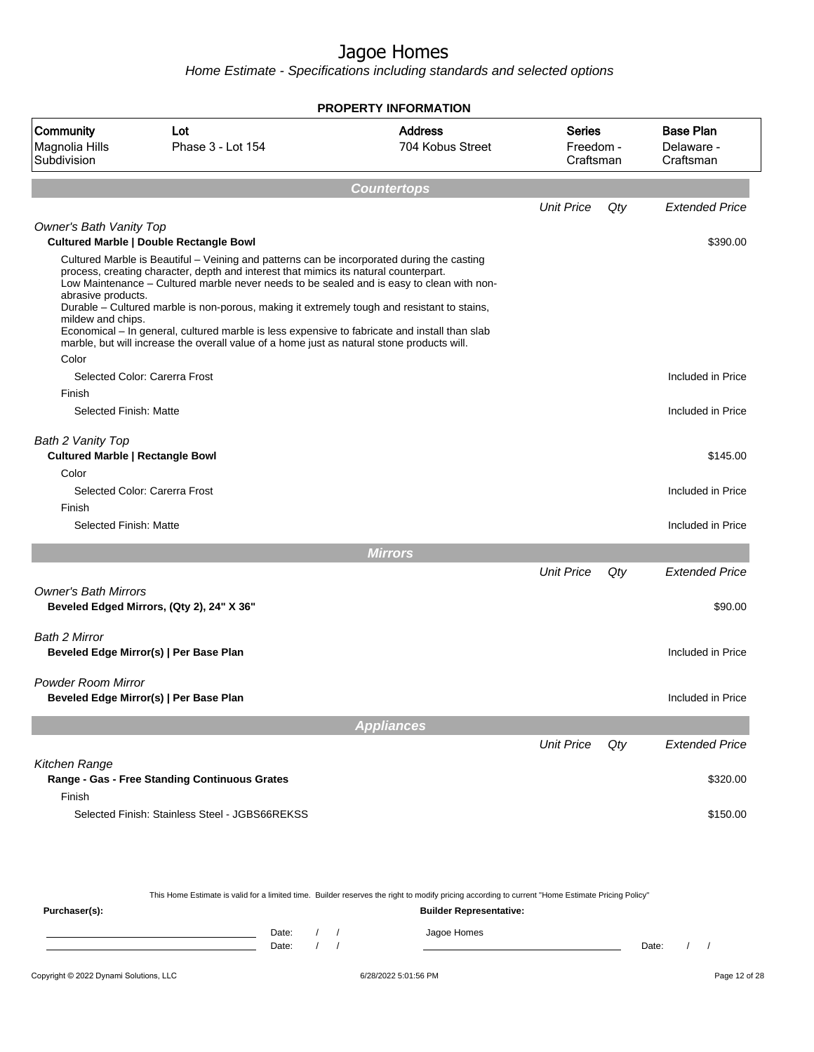|                                                                       |                                                                                                                                                                                                                                                                                                                                                                                                                                                                                                                                                                                                                                 | <b>PROPERTY INFORMATION</b>        |                                         |     |                                             |
|-----------------------------------------------------------------------|---------------------------------------------------------------------------------------------------------------------------------------------------------------------------------------------------------------------------------------------------------------------------------------------------------------------------------------------------------------------------------------------------------------------------------------------------------------------------------------------------------------------------------------------------------------------------------------------------------------------------------|------------------------------------|-----------------------------------------|-----|---------------------------------------------|
| Community<br>Magnolia Hills<br>Subdivision                            | Lot<br>Phase 3 - Lot 154                                                                                                                                                                                                                                                                                                                                                                                                                                                                                                                                                                                                        | <b>Address</b><br>704 Kobus Street | <b>Series</b><br>Freedom -<br>Craftsman |     | <b>Base Plan</b><br>Delaware -<br>Craftsman |
|                                                                       |                                                                                                                                                                                                                                                                                                                                                                                                                                                                                                                                                                                                                                 | <b>Countertops</b>                 |                                         |     |                                             |
|                                                                       |                                                                                                                                                                                                                                                                                                                                                                                                                                                                                                                                                                                                                                 |                                    | <b>Unit Price</b>                       | Qty | <b>Extended Price</b>                       |
| Owner's Bath Vanity Top                                               |                                                                                                                                                                                                                                                                                                                                                                                                                                                                                                                                                                                                                                 |                                    |                                         |     |                                             |
| abrasive products.<br>mildew and chips.<br>Color                      | <b>Cultured Marble   Double Rectangle Bowl</b><br>Cultured Marble is Beautiful - Veining and patterns can be incorporated during the casting<br>process, creating character, depth and interest that mimics its natural counterpart.<br>Low Maintenance - Cultured marble never needs to be sealed and is easy to clean with non-<br>Durable - Cultured marble is non-porous, making it extremely tough and resistant to stains,<br>Economical - In general, cultured marble is less expensive to fabricate and install than slab<br>marble, but will increase the overall value of a home just as natural stone products will. |                                    |                                         |     | \$390.00                                    |
|                                                                       | Selected Color: Carerra Frost                                                                                                                                                                                                                                                                                                                                                                                                                                                                                                                                                                                                   |                                    |                                         |     | Included in Price                           |
| Finish                                                                |                                                                                                                                                                                                                                                                                                                                                                                                                                                                                                                                                                                                                                 |                                    |                                         |     |                                             |
| Selected Finish: Matte                                                |                                                                                                                                                                                                                                                                                                                                                                                                                                                                                                                                                                                                                                 |                                    |                                         |     | Included in Price                           |
| Bath 2 Vanity Top<br><b>Cultured Marble   Rectangle Bowl</b><br>Color | Selected Color: Carerra Frost                                                                                                                                                                                                                                                                                                                                                                                                                                                                                                                                                                                                   |                                    |                                         |     | \$145.00<br>Included in Price               |
| Finish                                                                |                                                                                                                                                                                                                                                                                                                                                                                                                                                                                                                                                                                                                                 |                                    |                                         |     |                                             |
| Selected Finish: Matte                                                |                                                                                                                                                                                                                                                                                                                                                                                                                                                                                                                                                                                                                                 |                                    |                                         |     | Included in Price                           |
|                                                                       |                                                                                                                                                                                                                                                                                                                                                                                                                                                                                                                                                                                                                                 | <b>Mirrors</b>                     |                                         |     |                                             |
|                                                                       |                                                                                                                                                                                                                                                                                                                                                                                                                                                                                                                                                                                                                                 |                                    | <b>Unit Price</b>                       | Qty | <b>Extended Price</b>                       |
| <b>Owner's Bath Mirrors</b>                                           | Beveled Edged Mirrors, (Qty 2), 24" X 36"                                                                                                                                                                                                                                                                                                                                                                                                                                                                                                                                                                                       |                                    |                                         |     | \$90.00                                     |
| Bath 2 Mirror                                                         | Beveled Edge Mirror(s)   Per Base Plan                                                                                                                                                                                                                                                                                                                                                                                                                                                                                                                                                                                          |                                    |                                         |     | Included in Price                           |
| <b>Powder Room Mirror</b>                                             | Beveled Edge Mirror(s)   Per Base Plan                                                                                                                                                                                                                                                                                                                                                                                                                                                                                                                                                                                          |                                    |                                         |     | Included in Price                           |
|                                                                       |                                                                                                                                                                                                                                                                                                                                                                                                                                                                                                                                                                                                                                 | <b>Appliances</b>                  |                                         |     |                                             |
|                                                                       |                                                                                                                                                                                                                                                                                                                                                                                                                                                                                                                                                                                                                                 |                                    | <b>Unit Price</b>                       | Qty | <b>Extended Price</b>                       |
| Kitchen Range<br>Finish                                               | Range - Gas - Free Standing Continuous Grates                                                                                                                                                                                                                                                                                                                                                                                                                                                                                                                                                                                   |                                    |                                         |     | \$320.00                                    |
|                                                                       | Selected Finish: Stainless Steel - JGBS66REKSS                                                                                                                                                                                                                                                                                                                                                                                                                                                                                                                                                                                  |                                    |                                         |     | \$150.00                                    |

| This Home Estimate is valid for a limited time. Builder reserves the right to modify pricing according to current "Home Estimate Pricing Policy" |  |       |  |  |             |       |  |  |
|--------------------------------------------------------------------------------------------------------------------------------------------------|--|-------|--|--|-------------|-------|--|--|
| <b>Builder Representative:</b><br>Purchaser(s):                                                                                                  |  |       |  |  |             |       |  |  |
|                                                                                                                                                  |  | Date: |  |  | Jagoe Homes |       |  |  |
|                                                                                                                                                  |  | Date: |  |  |             | Date: |  |  |
|                                                                                                                                                  |  |       |  |  |             |       |  |  |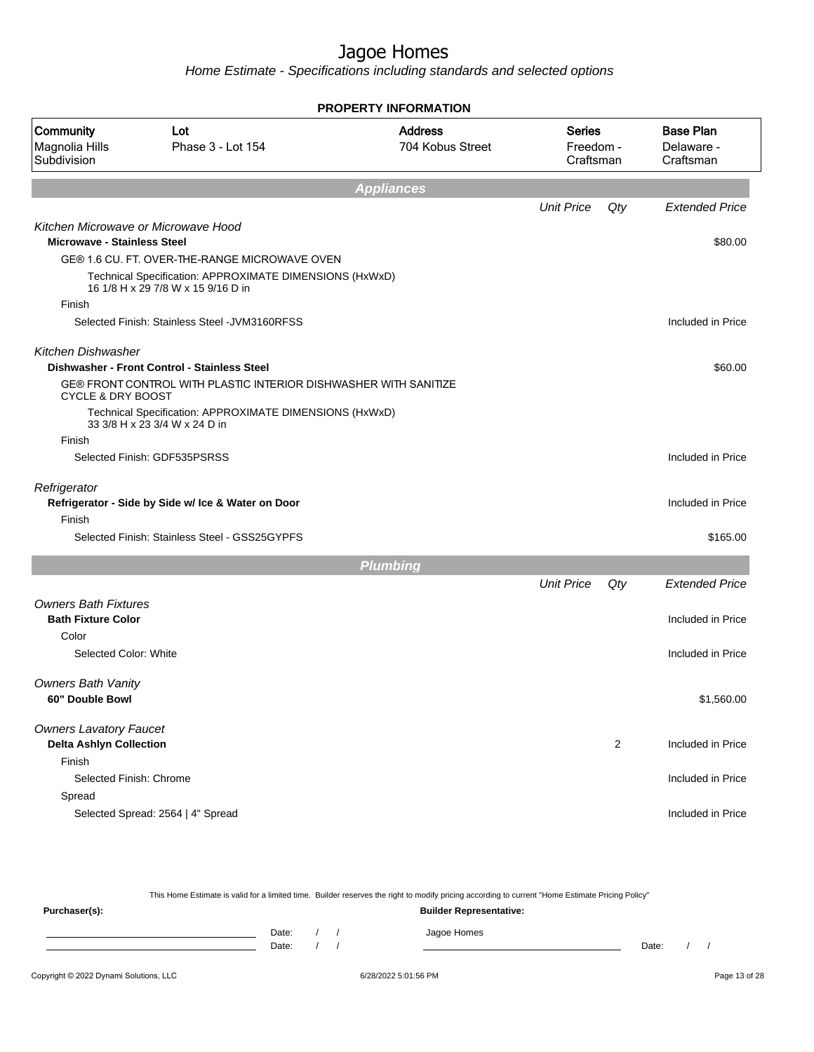Home Estimate - Specifications including standards and selected options

|                                            |                                                                                               | <b>PROPERTY INFORMATION</b>        |                                  |                |                                             |
|--------------------------------------------|-----------------------------------------------------------------------------------------------|------------------------------------|----------------------------------|----------------|---------------------------------------------|
| Community<br>Magnolia Hills<br>Subdivision | Lot<br>Phase 3 - Lot 154                                                                      | <b>Address</b><br>704 Kobus Street | Series<br>Freedom -<br>Craftsman |                | <b>Base Plan</b><br>Delaware -<br>Craftsman |
|                                            |                                                                                               | <b>Appliances</b>                  |                                  |                |                                             |
|                                            |                                                                                               |                                    | <b>Unit Price</b>                | Qty            | <b>Extended Price</b>                       |
| <b>Microwave - Stainless Steel</b>         | Kitchen Microwave or Microwave Hood                                                           |                                    |                                  |                | \$80.00                                     |
|                                            | GE® 1.6 CU. FT. OVER-THE-RANGE MICROWAVE OVEN                                                 |                                    |                                  |                |                                             |
|                                            | Technical Specification: APPROXIMATE DIMENSIONS (HxWxD)<br>16 1/8 H x 29 7/8 W x 15 9/16 D in |                                    |                                  |                |                                             |
| Finish                                     |                                                                                               |                                    |                                  |                |                                             |
|                                            | Selected Finish: Stainless Steel - JVM3160RFSS                                                |                                    |                                  |                | Included in Price                           |
| <b>Kitchen Dishwasher</b>                  |                                                                                               |                                    |                                  |                |                                             |
|                                            | Dishwasher - Front Control - Stainless Steel                                                  |                                    |                                  |                | \$60.00                                     |
| <b>CYCLE &amp; DRY BOOST</b>               | GE® FRONT CONTROL WITH PLASTIC INTERIOR DISHWASHER WITH SANITIZE                              |                                    |                                  |                |                                             |
|                                            | Technical Specification: APPROXIMATE DIMENSIONS (HxWxD)<br>33 3/8 H x 23 3/4 W x 24 D in      |                                    |                                  |                |                                             |
| Finish                                     |                                                                                               |                                    |                                  |                |                                             |
|                                            | Selected Finish: GDF535PSRSS                                                                  |                                    |                                  |                | Included in Price                           |
| Refrigerator                               |                                                                                               |                                    |                                  |                |                                             |
|                                            | Refrigerator - Side by Side w/ Ice & Water on Door                                            |                                    |                                  |                | Included in Price                           |
| Finish                                     |                                                                                               |                                    |                                  |                |                                             |
|                                            | Selected Finish: Stainless Steel - GSS25GYPFS                                                 |                                    |                                  |                | \$165.00                                    |
|                                            |                                                                                               | <b>Plumbing</b>                    |                                  |                |                                             |
|                                            |                                                                                               |                                    | <b>Unit Price</b>                | Qty            | <b>Extended Price</b>                       |
| <b>Owners Bath Fixtures</b>                |                                                                                               |                                    |                                  |                |                                             |
| <b>Bath Fixture Color</b><br>Color         |                                                                                               |                                    |                                  |                | Included in Price                           |
| Selected Color: White                      |                                                                                               |                                    |                                  |                | Included in Price                           |
|                                            |                                                                                               |                                    |                                  |                |                                             |
| <b>Owners Bath Vanity</b>                  |                                                                                               |                                    |                                  |                |                                             |
| 60" Double Bowl                            |                                                                                               |                                    |                                  |                | \$1,560.00                                  |
| <b>Owners Lavatory Faucet</b>              |                                                                                               |                                    |                                  |                |                                             |
| <b>Delta Ashlyn Collection</b><br>Finish   |                                                                                               |                                    |                                  | $\overline{2}$ | Included in Price                           |
| Selected Finish: Chrome                    |                                                                                               |                                    |                                  |                | Included in Price                           |
| Spread                                     |                                                                                               |                                    |                                  |                |                                             |
|                                            | Selected Spread: 2564   4" Spread                                                             |                                    |                                  |                | Included in Price                           |
|                                            |                                                                                               |                                    |                                  |                |                                             |

Copyright © 2022 Dynami Solutions, LLC <br>
6/28/2022 5:01:56 PM 6/28/2022 5:01:56 PM Page 13 of 28 This Home Estimate is valid for a limited time. Builder reserves the right to modify pricing according to current "Home Estimate Pricing Policy" **Purchaser(s): Builder Representative:** Date: / / Jagoe Homes<br>Date: / / Jagoe Homes Date: / / **Date: / / 2006** Date: / / / Date: / / / Date: / / / 2006 Date: / / / 2006 Date: / / / 2006 Date: / / / 2006 Date: / / / 2007 Date: / / / 2007 Date: / / / 2007 Date: / / / 2007 Date: / / / 2007 Date: / / / 2007 D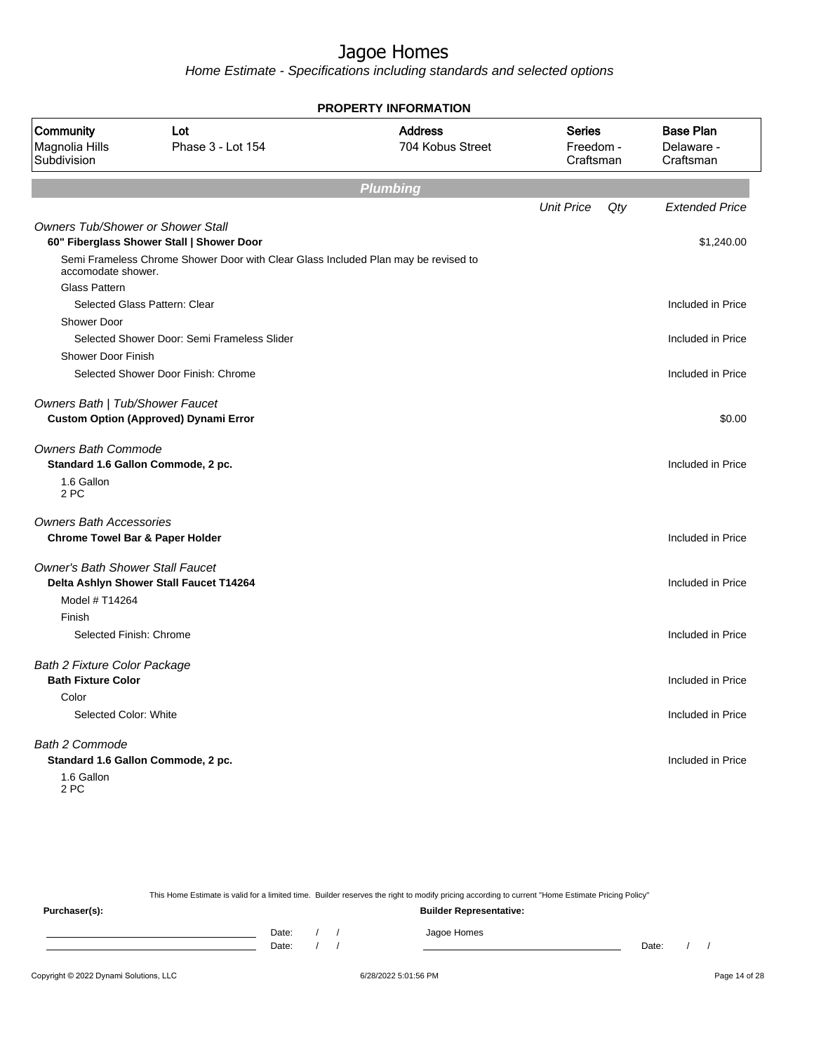Home Estimate - Specifications including standards and selected options

|                                            |                                                                                    | <b>PROPERTY INFORMATION</b>        |                                         |                                             |
|--------------------------------------------|------------------------------------------------------------------------------------|------------------------------------|-----------------------------------------|---------------------------------------------|
| Community<br>Magnolia Hills<br>Subdivision | Lot<br>Phase 3 - Lot 154                                                           | <b>Address</b><br>704 Kobus Street | <b>Series</b><br>Freedom -<br>Craftsman | <b>Base Plan</b><br>Delaware -<br>Craftsman |
|                                            |                                                                                    | <b>Plumbing</b>                    |                                         |                                             |
|                                            |                                                                                    |                                    | <b>Unit Price</b><br>Qty                | <b>Extended Price</b>                       |
| <b>Owners Tub/Shower or Shower Stall</b>   | 60" Fiberglass Shower Stall   Shower Door                                          |                                    |                                         | \$1,240.00                                  |
| accomodate shower.                         | Semi Frameless Chrome Shower Door with Clear Glass Included Plan may be revised to |                                    |                                         |                                             |
| <b>Glass Pattern</b>                       | Selected Glass Pattern: Clear                                                      |                                    |                                         | Included in Price                           |
| <b>Shower Door</b>                         |                                                                                    |                                    |                                         |                                             |
|                                            | Selected Shower Door: Semi Frameless Slider                                        |                                    |                                         | Included in Price                           |
| Shower Door Finish                         |                                                                                    |                                    |                                         |                                             |
|                                            | Selected Shower Door Finish: Chrome                                                |                                    |                                         | Included in Price                           |
| Owners Bath   Tub/Shower Faucet            | <b>Custom Option (Approved) Dynami Error</b>                                       |                                    |                                         | \$0.00                                      |
| <b>Owners Bath Commode</b>                 | Standard 1.6 Gallon Commode, 2 pc.                                                 |                                    |                                         | Included in Price                           |
| 1.6 Gallon<br>2 PC                         |                                                                                    |                                    |                                         |                                             |
| <b>Owners Bath Accessories</b>             |                                                                                    |                                    |                                         |                                             |
| <b>Chrome Towel Bar &amp; Paper Holder</b> |                                                                                    |                                    |                                         | Included in Price                           |
| <b>Owner's Bath Shower Stall Faucet</b>    |                                                                                    |                                    |                                         |                                             |
|                                            | Delta Ashlyn Shower Stall Faucet T14264                                            |                                    |                                         | Included in Price                           |
| Model # T14264                             |                                                                                    |                                    |                                         |                                             |
| Finish                                     |                                                                                    |                                    |                                         |                                             |
| Selected Finish: Chrome                    |                                                                                    |                                    |                                         | Included in Price                           |
| <b>Bath 2 Fixture Color Package</b>        |                                                                                    |                                    |                                         |                                             |
| <b>Bath Fixture Color</b>                  |                                                                                    |                                    |                                         | Included in Price                           |
| Color                                      |                                                                                    |                                    |                                         |                                             |
| Selected Color: White                      |                                                                                    |                                    |                                         | Included in Price                           |
| <b>Bath 2 Commode</b>                      |                                                                                    |                                    |                                         |                                             |
|                                            | Standard 1.6 Gallon Commode, 2 pc.                                                 |                                    |                                         | Included in Price                           |
| 1.6 Gallon<br>2 PC                         |                                                                                    |                                    |                                         |                                             |

This Home Estimate is valid for a limited time. Builder reserves the right to modify pricing according to current "Home Estimate Pricing Policy" **Purchaser(s): Builder Representative:** Date: / / Jagoe Homes<br>Date: / / Jagoe Homes Date: / / **Date: / / 2006** Date: / / / Date: / / / Date: / / / 2006 Date: / / / 2006 Date: / / / 2006 Date: / / / 2006 Date: / / / 2007 Date: / / / 2007 Date: / / / 2007 Date: / / / 2007 Date: / / / 2007 Date: / / / 2007 D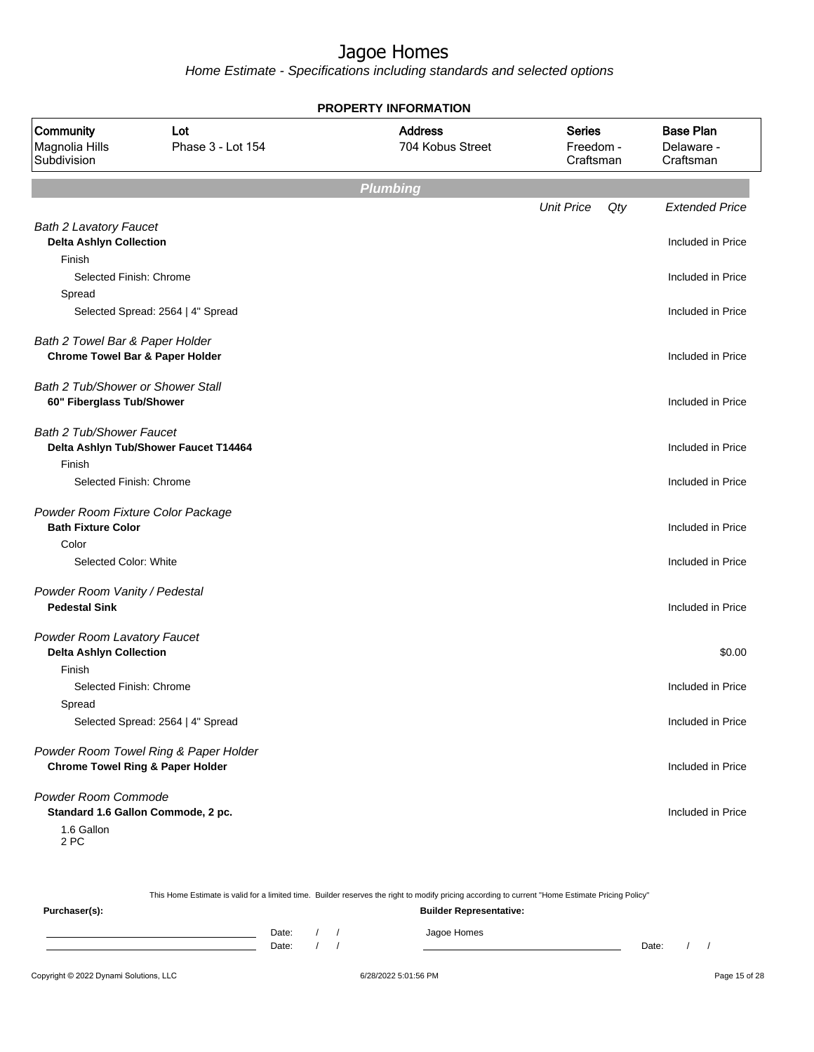Home Estimate - Specifications including standards and selected options

| <b>PROPERTY INFORMATION</b>                |                                             |                                    |                                         |                                             |  |  |
|--------------------------------------------|---------------------------------------------|------------------------------------|-----------------------------------------|---------------------------------------------|--|--|
| Community<br>Magnolia Hills<br>Subdivision | Lot<br>Phase 3 - Lot 154                    | <b>Address</b><br>704 Kobus Street | <b>Series</b><br>Freedom -<br>Craftsman | <b>Base Plan</b><br>Delaware -<br>Craftsman |  |  |
|                                            |                                             | <b>Plumbing</b>                    |                                         |                                             |  |  |
|                                            |                                             |                                    | <b>Unit Price</b><br>Qty                | <b>Extended Price</b>                       |  |  |
| <b>Bath 2 Lavatory Faucet</b>              |                                             |                                    |                                         |                                             |  |  |
| <b>Delta Ashlyn Collection</b>             |                                             |                                    |                                         | Included in Price                           |  |  |
| Finish                                     |                                             |                                    |                                         |                                             |  |  |
| Selected Finish: Chrome                    |                                             |                                    |                                         | Included in Price                           |  |  |
| Spread                                     |                                             |                                    |                                         |                                             |  |  |
|                                            | Selected Spread: 2564   4" Spread           |                                    |                                         | Included in Price                           |  |  |
| Bath 2 Towel Bar & Paper Holder            |                                             |                                    |                                         |                                             |  |  |
| <b>Chrome Towel Bar &amp; Paper Holder</b> |                                             |                                    |                                         | Included in Price                           |  |  |
|                                            |                                             |                                    |                                         |                                             |  |  |
| Bath 2 Tub/Shower or Shower Stall          |                                             |                                    |                                         |                                             |  |  |
| 60" Fiberglass Tub/Shower                  |                                             |                                    |                                         | Included in Price                           |  |  |
| <b>Bath 2 Tub/Shower Faucet</b>            |                                             |                                    |                                         |                                             |  |  |
|                                            | Delta Ashlyn Tub/Shower Faucet T14464       |                                    |                                         | Included in Price                           |  |  |
| Finish                                     |                                             |                                    |                                         |                                             |  |  |
| Selected Finish: Chrome                    |                                             |                                    |                                         | Included in Price                           |  |  |
| Powder Room Fixture Color Package          |                                             |                                    |                                         |                                             |  |  |
| <b>Bath Fixture Color</b>                  |                                             |                                    |                                         | Included in Price                           |  |  |
| Color                                      |                                             |                                    |                                         |                                             |  |  |
| Selected Color: White                      |                                             |                                    |                                         | Included in Price                           |  |  |
| Powder Room Vanity / Pedestal              |                                             |                                    |                                         |                                             |  |  |
| <b>Pedestal Sink</b>                       |                                             |                                    |                                         | Included in Price                           |  |  |
|                                            |                                             |                                    |                                         |                                             |  |  |
| Powder Room Lavatory Faucet                |                                             |                                    |                                         |                                             |  |  |
| <b>Delta Ashlyn Collection</b>             |                                             |                                    |                                         | \$0.00                                      |  |  |
| Finish                                     |                                             |                                    |                                         |                                             |  |  |
| Selected Finish: Chrome                    |                                             |                                    |                                         | Included in Price                           |  |  |
| Spread                                     |                                             |                                    |                                         |                                             |  |  |
|                                            | Selected Spread: 2564   4" Spread           |                                    |                                         | Included in Price                           |  |  |
|                                            | Powder Room Towel Ring & Paper Holder       |                                    |                                         |                                             |  |  |
|                                            | <b>Chrome Towel Ring &amp; Paper Holder</b> |                                    |                                         | Included in Price                           |  |  |
| Powder Room Commode                        |                                             |                                    |                                         |                                             |  |  |
|                                            | Standard 1.6 Gallon Commode, 2 pc.          |                                    |                                         | Included in Price                           |  |  |
| 1.6 Gallon                                 |                                             |                                    |                                         |                                             |  |  |

This Home Estimate is valid for a limited time. Builder reserves the right to modify pricing according to current "Home Estimate Pricing Policy"

**Purchaser(s): Builder Representative:** Date: / / Jagoe Homes<br>Date: / / Jagoe Homes Date: / / Date: / /

2 PC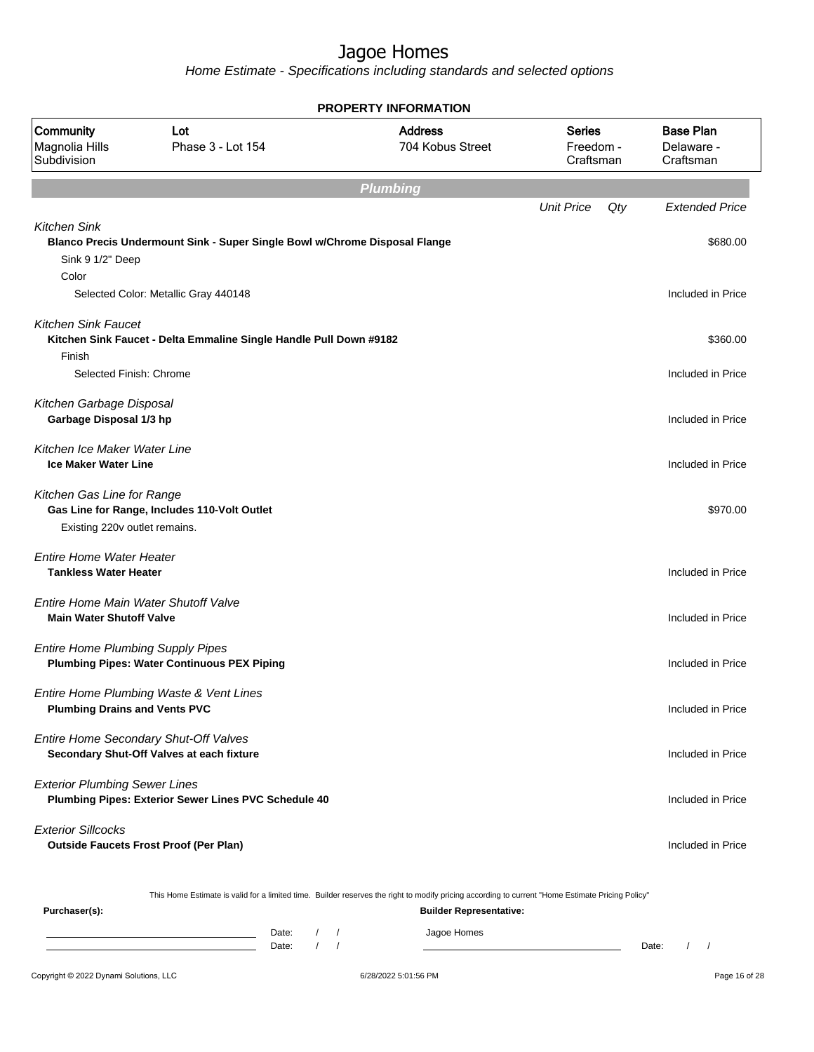Home Estimate - Specifications including standards and selected options

|                                                                         |                                                                                                                                                  | <b>PROPERTY INFORMATION</b>        |                                         |                                             |
|-------------------------------------------------------------------------|--------------------------------------------------------------------------------------------------------------------------------------------------|------------------------------------|-----------------------------------------|---------------------------------------------|
| Community<br>Magnolia Hills<br>Subdivision                              | Lot<br>Phase 3 - Lot 154                                                                                                                         | <b>Address</b><br>704 Kobus Street | <b>Series</b><br>Freedom -<br>Craftsman | <b>Base Plan</b><br>Delaware -<br>Craftsman |
|                                                                         |                                                                                                                                                  | <b>Plumbing</b>                    |                                         |                                             |
|                                                                         |                                                                                                                                                  |                                    | <b>Unit Price</b><br>Qty                | <b>Extended Price</b>                       |
| <b>Kitchen Sink</b><br>Sink 9 1/2" Deep<br>Color                        | Blanco Precis Undermount Sink - Super Single Bowl w/Chrome Disposal Flange                                                                       |                                    |                                         | \$680.00                                    |
|                                                                         | Selected Color: Metallic Gray 440148                                                                                                             |                                    |                                         | Included in Price                           |
| <b>Kitchen Sink Faucet</b><br>Finish<br>Selected Finish: Chrome         | Kitchen Sink Faucet - Delta Emmaline Single Handle Pull Down #9182                                                                               |                                    |                                         | \$360.00<br>Included in Price               |
| Kitchen Garbage Disposal<br>Garbage Disposal 1/3 hp                     |                                                                                                                                                  |                                    |                                         | Included in Price                           |
| Kitchen Ice Maker Water Line<br><b>Ice Maker Water Line</b>             |                                                                                                                                                  |                                    |                                         | Included in Price                           |
| Kitchen Gas Line for Range<br>Existing 220v outlet remains.             | Gas Line for Range, Includes 110-Volt Outlet                                                                                                     |                                    |                                         | \$970.00                                    |
| <b>Entire Home Water Heater</b><br><b>Tankless Water Heater</b>         |                                                                                                                                                  |                                    |                                         | Included in Price                           |
| Entire Home Main Water Shutoff Valve<br><b>Main Water Shutoff Valve</b> |                                                                                                                                                  |                                    |                                         | Included in Price                           |
| <b>Entire Home Plumbing Supply Pipes</b>                                | <b>Plumbing Pipes: Water Continuous PEX Piping</b>                                                                                               |                                    |                                         | Included in Price                           |
| <b>Plumbing Drains and Vents PVC</b>                                    | Entire Home Plumbing Waste & Vent Lines                                                                                                          |                                    |                                         | Included in Price                           |
|                                                                         | Entire Home Secondary Shut-Off Valves<br>Secondary Shut-Off Valves at each fixture                                                               |                                    |                                         | Included in Price                           |
| <b>Exterior Plumbing Sewer Lines</b>                                    | Plumbing Pipes: Exterior Sewer Lines PVC Schedule 40                                                                                             |                                    |                                         | Included in Price                           |
| <b>Exterior Sillcocks</b>                                               | <b>Outside Faucets Frost Proof (Per Plan)</b>                                                                                                    |                                    |                                         | Included in Price                           |
|                                                                         | This Home Estimate is valid for a limited time. Builder reserves the right to modify pricing according to current "Home Estimate Pricing Policy" |                                    |                                         |                                             |
| Purchaser(s):                                                           |                                                                                                                                                  | <b>Builder Representative:</b>     |                                         |                                             |

Date: / / Jagoe Homes<br>Date: / / Jagoe Homes Date: / / Date: / /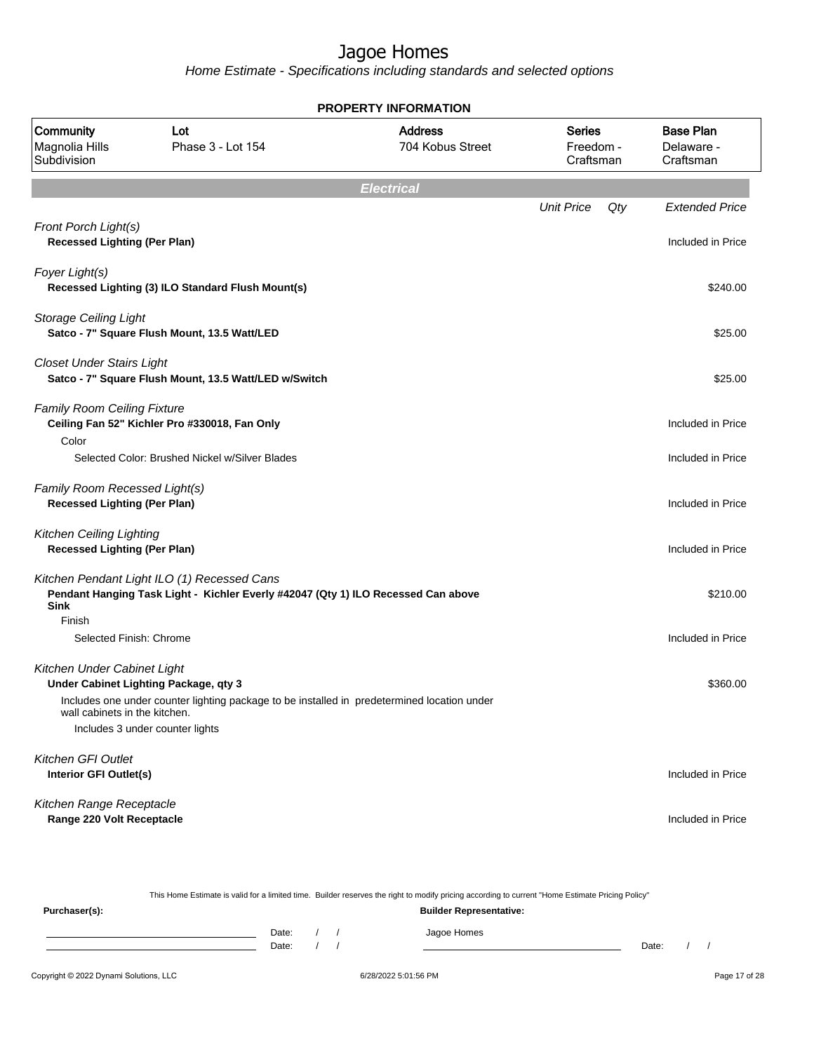Home Estimate - Specifications including standards and selected options

| <b>PROPERTY INFORMATION</b>                                            |                                                                                                                                  |                                    |                                         |                                             |  |  |
|------------------------------------------------------------------------|----------------------------------------------------------------------------------------------------------------------------------|------------------------------------|-----------------------------------------|---------------------------------------------|--|--|
| Community<br>Magnolia Hills<br>Subdivision                             | Lot<br>Phase 3 - Lot 154                                                                                                         | <b>Address</b><br>704 Kobus Street | <b>Series</b><br>Freedom -<br>Craftsman | <b>Base Plan</b><br>Delaware -<br>Craftsman |  |  |
|                                                                        |                                                                                                                                  | <b>Electrical</b>                  |                                         |                                             |  |  |
|                                                                        |                                                                                                                                  |                                    | <b>Unit Price</b><br>Qty                | <b>Extended Price</b>                       |  |  |
| Front Porch Light(s)<br><b>Recessed Lighting (Per Plan)</b>            |                                                                                                                                  |                                    |                                         | Included in Price                           |  |  |
| Foyer Light(s)                                                         | Recessed Lighting (3) ILO Standard Flush Mount(s)                                                                                |                                    |                                         | \$240.00                                    |  |  |
| <b>Storage Ceiling Light</b>                                           | Satco - 7" Square Flush Mount, 13.5 Watt/LED                                                                                     |                                    |                                         | \$25.00                                     |  |  |
| <b>Closet Under Stairs Light</b>                                       | Satco - 7" Square Flush Mount, 13.5 Watt/LED w/Switch                                                                            |                                    |                                         | \$25.00                                     |  |  |
| <b>Family Room Ceiling Fixture</b><br>Color                            | Ceiling Fan 52" Kichler Pro #330018, Fan Only                                                                                    |                                    |                                         | Included in Price                           |  |  |
|                                                                        | Selected Color: Brushed Nickel w/Silver Blades                                                                                   |                                    |                                         | Included in Price                           |  |  |
| Family Room Recessed Light(s)<br><b>Recessed Lighting (Per Plan)</b>   |                                                                                                                                  |                                    |                                         | Included in Price                           |  |  |
| <b>Kitchen Ceiling Lighting</b><br><b>Recessed Lighting (Per Plan)</b> |                                                                                                                                  |                                    |                                         | Included in Price                           |  |  |
| <b>Sink</b>                                                            | Kitchen Pendant Light ILO (1) Recessed Cans<br>Pendant Hanging Task Light - Kichler Everly #42047 (Qty 1) ILO Recessed Can above |                                    |                                         | \$210.00                                    |  |  |
| Finish<br>Selected Finish: Chrome                                      |                                                                                                                                  |                                    |                                         | Included in Price                           |  |  |
| Kitchen Under Cabinet Light                                            | Under Cabinet Lighting Package, qty 3                                                                                            |                                    |                                         | \$360.00                                    |  |  |
| wall cabinets in the kitchen.                                          | Includes one under counter lighting package to be installed in predetermined location under<br>Includes 3 under counter lights   |                                    |                                         |                                             |  |  |
| Kitchen GFI Outlet<br>Interior GFI Outlet(s)                           |                                                                                                                                  |                                    |                                         | Included in Price                           |  |  |
| Kitchen Range Receptacle<br>Range 220 Volt Receptacle                  |                                                                                                                                  |                                    |                                         | Included in Price                           |  |  |

This Home Estimate is valid for a limited time. Builder reserves the right to modify pricing according to current "Home Estimate Pricing Policy" **Purchaser(s): Builder Representative:** Date: / / Jagoe Homes<br>Date: / / Jagoe Homes Date: / / **Date: / / 2006** Date: / / / Date: / / / Date: / / / 2006 Date: / / / 2006 Date: / / / 2006 Date: / / / 2006 Date: / / / 2007 Date: / / / 2007 Date: / / / 2007 Date: / / / 2007 Date: / / / 2007 Date: / / / 2007 D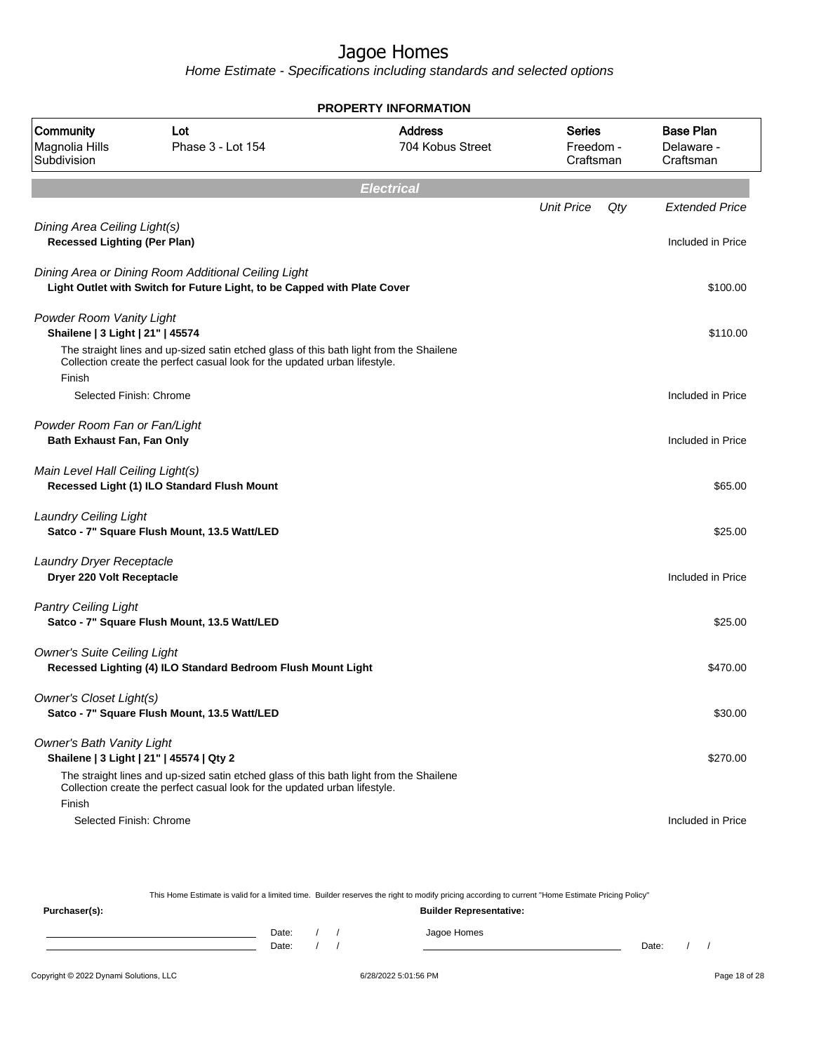Home Estimate - Specifications including standards and selected options

| <b>PROPERTY INFORMATION</b>                                         |                                                                                                                                                                       |                                    |                                  |                                             |  |  |  |
|---------------------------------------------------------------------|-----------------------------------------------------------------------------------------------------------------------------------------------------------------------|------------------------------------|----------------------------------|---------------------------------------------|--|--|--|
| Community<br>Magnolia Hills<br>Subdivision                          | Lot<br>Phase 3 - Lot 154                                                                                                                                              | <b>Address</b><br>704 Kobus Street | Series<br>Freedom -<br>Craftsman | <b>Base Plan</b><br>Delaware -<br>Craftsman |  |  |  |
|                                                                     |                                                                                                                                                                       | <b>Electrical</b>                  |                                  |                                             |  |  |  |
|                                                                     |                                                                                                                                                                       |                                    | <b>Unit Price</b>                | Qty<br><b>Extended Price</b>                |  |  |  |
| Dining Area Ceiling Light(s)<br><b>Recessed Lighting (Per Plan)</b> |                                                                                                                                                                       |                                    |                                  | Included in Price                           |  |  |  |
|                                                                     | Dining Area or Dining Room Additional Ceiling Light<br>Light Outlet with Switch for Future Light, to be Capped with Plate Cover                                       |                                    |                                  | \$100.00                                    |  |  |  |
| Powder Room Vanity Light<br>Shailene   3 Light   21"   45574        |                                                                                                                                                                       |                                    |                                  | \$110.00                                    |  |  |  |
| Finish                                                              | The straight lines and up-sized satin etched glass of this bath light from the Shailene<br>Collection create the perfect casual look for the updated urban lifestyle. |                                    |                                  |                                             |  |  |  |
| Selected Finish: Chrome                                             |                                                                                                                                                                       |                                    |                                  | Included in Price                           |  |  |  |
| Powder Room Fan or Fan/Light<br>Bath Exhaust Fan, Fan Only          |                                                                                                                                                                       |                                    |                                  | Included in Price                           |  |  |  |
| Main Level Hall Ceiling Light(s)                                    | Recessed Light (1) ILO Standard Flush Mount                                                                                                                           |                                    |                                  | \$65.00                                     |  |  |  |
| <b>Laundry Ceiling Light</b>                                        | Satco - 7" Square Flush Mount, 13.5 Watt/LED                                                                                                                          |                                    |                                  | \$25.00                                     |  |  |  |
| Laundry Dryer Receptacle<br>Dryer 220 Volt Receptacle               |                                                                                                                                                                       |                                    |                                  | Included in Price                           |  |  |  |
| <b>Pantry Ceiling Light</b>                                         | Satco - 7" Square Flush Mount, 13.5 Watt/LED                                                                                                                          |                                    |                                  | \$25.00                                     |  |  |  |
| <b>Owner's Suite Ceiling Light</b>                                  | Recessed Lighting (4) ILO Standard Bedroom Flush Mount Light                                                                                                          |                                    |                                  | \$470.00                                    |  |  |  |
| <b>Owner's Closet Light(s)</b>                                      | Satco - 7" Square Flush Mount, 13.5 Watt/LED                                                                                                                          |                                    |                                  | \$30.00                                     |  |  |  |
| <b>Owner's Bath Vanity Light</b>                                    | Shailene   3 Light   21"   45574   Qty 2                                                                                                                              |                                    |                                  | \$270.00                                    |  |  |  |
| Finish                                                              | The straight lines and up-sized satin etched glass of this bath light from the Shailene<br>Collection create the perfect casual look for the updated urban lifestyle. |                                    |                                  |                                             |  |  |  |
| Selected Finish: Chrome                                             |                                                                                                                                                                       |                                    |                                  | Included in Price                           |  |  |  |

This Home Estimate is valid for a limited time. Builder reserves the right to modify pricing according to current "Home Estimate Pricing Policy"

**Purchaser(s): Builder Representative:** Date: / / Jagoe Homes<br>Date: / / Jagoe Homes Date: / / Date: / /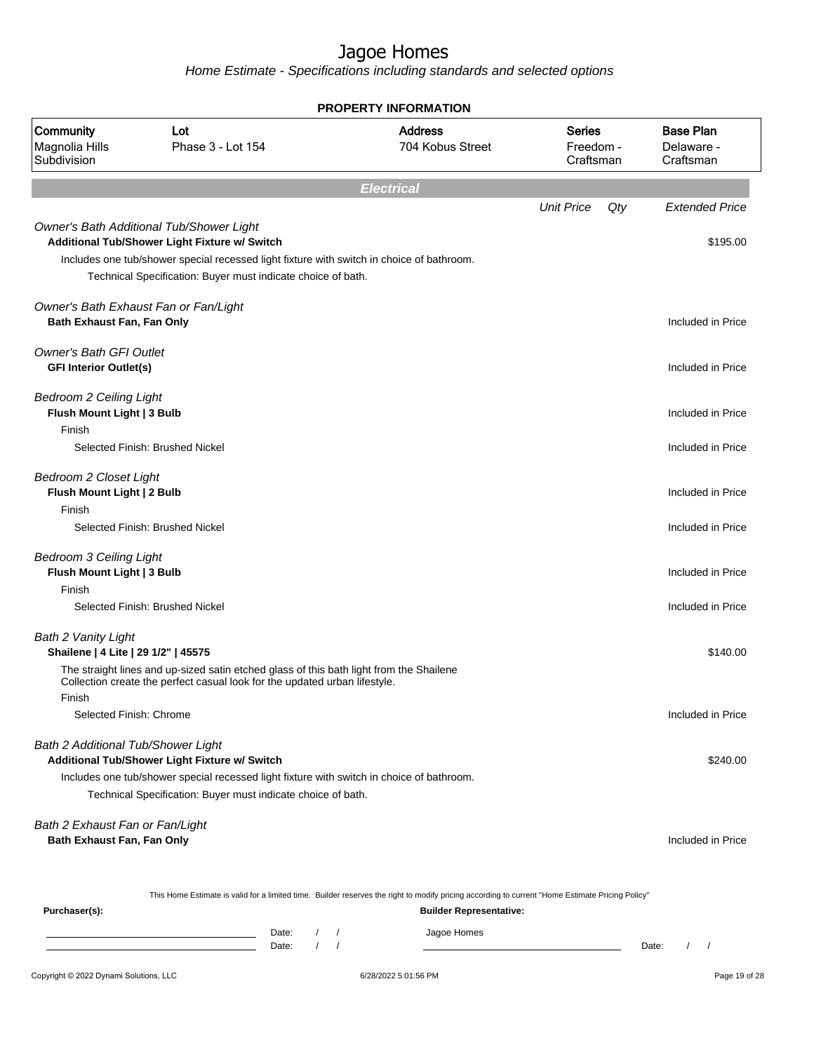|                                                                        |                                                                                                                                                                                                                                                        | <b>PROPERTY INFORMATION</b>        |                                         |                                             |
|------------------------------------------------------------------------|--------------------------------------------------------------------------------------------------------------------------------------------------------------------------------------------------------------------------------------------------------|------------------------------------|-----------------------------------------|---------------------------------------------|
| Community<br>Magnolia Hills<br>Subdivision                             | Lot<br>Phase 3 - Lot 154                                                                                                                                                                                                                               | <b>Address</b><br>704 Kobus Street | <b>Series</b><br>Freedom -<br>Craftsman | <b>Base Plan</b><br>Delaware -<br>Craftsman |
|                                                                        |                                                                                                                                                                                                                                                        | <b>Electrical</b>                  |                                         |                                             |
|                                                                        |                                                                                                                                                                                                                                                        |                                    | <b>Unit Price</b><br>Qty                | <b>Extended Price</b>                       |
|                                                                        | Owner's Bath Additional Tub/Shower Light<br>Additional Tub/Shower Light Fixture w/ Switch<br>Includes one tub/shower special recessed light fixture with switch in choice of bathroom.<br>Technical Specification: Buyer must indicate choice of bath. |                                    |                                         | \$195.00                                    |
| Owner's Bath Exhaust Fan or Fan/Light<br>Bath Exhaust Fan, Fan Only    |                                                                                                                                                                                                                                                        |                                    |                                         | Included in Price                           |
| <b>Owner's Bath GFI Outlet</b><br><b>GFI Interior Outlet(s)</b>        |                                                                                                                                                                                                                                                        |                                    |                                         | Included in Price                           |
| <b>Bedroom 2 Ceiling Light</b><br>Flush Mount Light   3 Bulb<br>Finish |                                                                                                                                                                                                                                                        |                                    |                                         | Included in Price                           |
|                                                                        | Selected Finish: Brushed Nickel                                                                                                                                                                                                                        |                                    |                                         | Included in Price                           |
| Bedroom 2 Closet Light<br>Flush Mount Light   2 Bulb<br>Finish         |                                                                                                                                                                                                                                                        |                                    |                                         | Included in Price                           |
|                                                                        | Selected Finish: Brushed Nickel                                                                                                                                                                                                                        |                                    |                                         | Included in Price                           |
| <b>Bedroom 3 Ceiling Light</b><br>Flush Mount Light   3 Bulb<br>Finish | Selected Finish: Brushed Nickel                                                                                                                                                                                                                        |                                    |                                         | Included in Price<br>Included in Price      |
| Bath 2 Vanity Light<br>Shailene   4 Lite   29 1/2"   45575             |                                                                                                                                                                                                                                                        |                                    |                                         | \$140.00                                    |
| Finish                                                                 | The straight lines and up-sized satin etched glass of this bath light from the Shailene<br>Collection create the perfect casual look for the updated urban lifestyle.                                                                                  |                                    |                                         |                                             |
| Selected Finish: Chrome                                                |                                                                                                                                                                                                                                                        |                                    |                                         | Included in Price                           |
| Bath 2 Additional Tub/Shower Light                                     | Additional Tub/Shower Light Fixture w/ Switch<br>Includes one tub/shower special recessed light fixture with switch in choice of bathroom.                                                                                                             |                                    |                                         | \$240.00                                    |
|                                                                        | Technical Specification: Buyer must indicate choice of bath.                                                                                                                                                                                           |                                    |                                         |                                             |
| Bath 2 Exhaust Fan or Fan/Light<br>Bath Exhaust Fan, Fan Only          |                                                                                                                                                                                                                                                        |                                    |                                         | Included in Price                           |
|                                                                        | This Home Estimate is valid for a limited time. Builder reserves the right to modify pricing according to current "Home Estimate Pricing Policy"                                                                                                       |                                    |                                         |                                             |
| Purchaser(s):                                                          |                                                                                                                                                                                                                                                        | <b>Builder Representative:</b>     |                                         |                                             |

| Date: |  | 12222<br>Homes |       |  |
|-------|--|----------------|-------|--|
| Date: |  |                | Date: |  |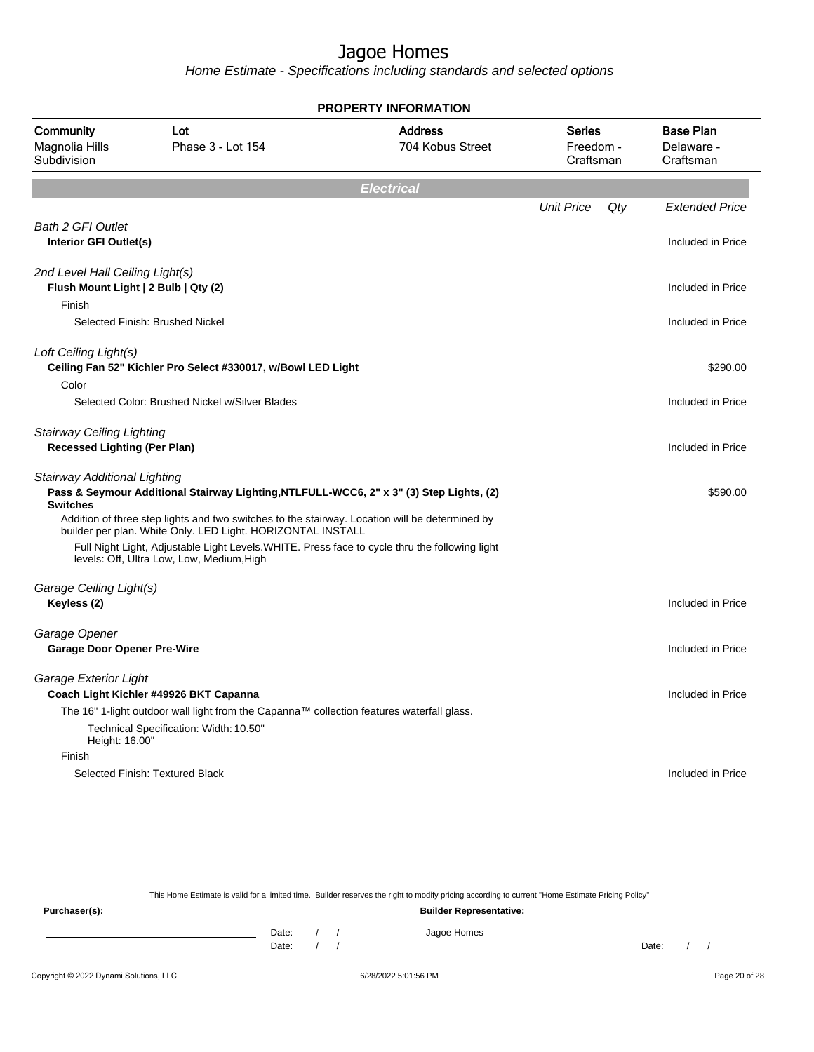Home Estimate - Specifications including standards and selected options

|                                                                                   |                                                                                                                                                                                                                                                                                                              | <b>PROPERTY INFORMATION</b>        |                                         |     |                                             |
|-----------------------------------------------------------------------------------|--------------------------------------------------------------------------------------------------------------------------------------------------------------------------------------------------------------------------------------------------------------------------------------------------------------|------------------------------------|-----------------------------------------|-----|---------------------------------------------|
| Community<br>Magnolia Hills<br>Subdivision                                        | Lot<br>Phase 3 - Lot 154                                                                                                                                                                                                                                                                                     | <b>Address</b><br>704 Kobus Street | <b>Series</b><br>Freedom -<br>Craftsman |     | <b>Base Plan</b><br>Delaware -<br>Craftsman |
|                                                                                   |                                                                                                                                                                                                                                                                                                              | <b>Electrical</b>                  |                                         |     |                                             |
|                                                                                   |                                                                                                                                                                                                                                                                                                              |                                    | <b>Unit Price</b>                       | Qty | <b>Extended Price</b>                       |
| <b>Bath 2 GFI Outlet</b><br>Interior GFI Outlet(s)                                |                                                                                                                                                                                                                                                                                                              |                                    |                                         |     | Included in Price                           |
| 2nd Level Hall Ceiling Light(s)<br>Flush Mount Light   2 Bulb   Qty (2)<br>Finish |                                                                                                                                                                                                                                                                                                              |                                    |                                         |     | Included in Price                           |
|                                                                                   | Selected Finish: Brushed Nickel                                                                                                                                                                                                                                                                              |                                    |                                         |     | Included in Price                           |
| Loft Ceiling Light(s)<br>Color                                                    | Ceiling Fan 52" Kichler Pro Select #330017, w/Bowl LED Light                                                                                                                                                                                                                                                 |                                    |                                         |     | \$290.00                                    |
|                                                                                   | Selected Color: Brushed Nickel w/Silver Blades                                                                                                                                                                                                                                                               |                                    |                                         |     | Included in Price                           |
| <b>Stairway Ceiling Lighting</b><br><b>Recessed Lighting (Per Plan)</b>           |                                                                                                                                                                                                                                                                                                              |                                    |                                         |     | Included in Price                           |
| <b>Stairway Additional Lighting</b><br><b>Switches</b>                            | Pass & Seymour Additional Stairway Lighting, NTLFULL-WCC6, 2" x 3" (3) Step Lights, (2)                                                                                                                                                                                                                      |                                    |                                         |     | \$590.00                                    |
|                                                                                   | Addition of three step lights and two switches to the stairway. Location will be determined by<br>builder per plan. White Only. LED Light. HORIZONTAL INSTALL<br>Full Night Light, Adjustable Light Levels. WHITE. Press face to cycle thru the following light<br>levels: Off, Ultra Low, Low, Medium, High |                                    |                                         |     |                                             |
| Garage Ceiling Light(s)<br>Keyless (2)                                            |                                                                                                                                                                                                                                                                                                              |                                    |                                         |     | Included in Price                           |
| Garage Opener<br><b>Garage Door Opener Pre-Wire</b>                               |                                                                                                                                                                                                                                                                                                              |                                    |                                         |     | Included in Price                           |
| Garage Exterior Light<br>Height: 16.00"                                           | Coach Light Kichler #49926 BKT Capanna<br>The 16" 1-light outdoor wall light from the Capanna™ collection features waterfall glass.<br>Technical Specification: Width: 10.50"                                                                                                                                |                                    |                                         |     | Included in Price                           |
| Finish                                                                            |                                                                                                                                                                                                                                                                                                              |                                    |                                         |     |                                             |
|                                                                                   | Selected Finish: Textured Black                                                                                                                                                                                                                                                                              |                                    |                                         |     | Included in Price                           |
|                                                                                   |                                                                                                                                                                                                                                                                                                              |                                    |                                         |     |                                             |

This Home Estimate is valid for a limited time. Builder reserves the right to modify pricing according to current "Home Estimate Pricing Policy" **Purchaser(s): Builder Representative:** Date: / / Jagoe Homes<br>Date: / / Jagoe Homes Date: / / Date: / /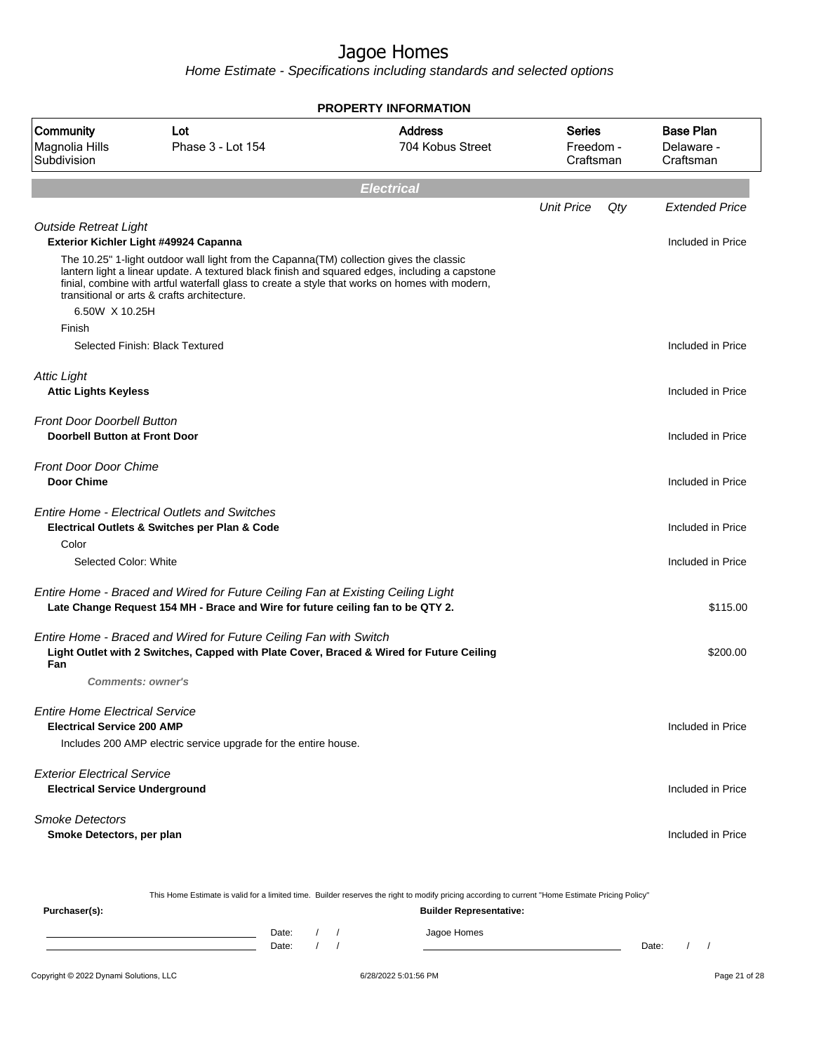|                                                                             |                                                                                                                                                                                                                                                                                                                                            | <b>PROPERTY INFORMATION</b>                                                                                                                      |                                         |                                             |
|-----------------------------------------------------------------------------|--------------------------------------------------------------------------------------------------------------------------------------------------------------------------------------------------------------------------------------------------------------------------------------------------------------------------------------------|--------------------------------------------------------------------------------------------------------------------------------------------------|-----------------------------------------|---------------------------------------------|
| Community<br>Magnolia Hills<br>Subdivision                                  | Lot<br>Phase 3 - Lot 154                                                                                                                                                                                                                                                                                                                   | <b>Address</b><br>704 Kobus Street                                                                                                               | <b>Series</b><br>Freedom -<br>Craftsman | <b>Base Plan</b><br>Delaware -<br>Craftsman |
|                                                                             |                                                                                                                                                                                                                                                                                                                                            | <b>Electrical</b>                                                                                                                                |                                         |                                             |
|                                                                             |                                                                                                                                                                                                                                                                                                                                            |                                                                                                                                                  | <b>Unit Price</b>                       | Qty<br><b>Extended Price</b>                |
| <b>Outside Retreat Light</b>                                                | Exterior Kichler Light #49924 Capanna                                                                                                                                                                                                                                                                                                      |                                                                                                                                                  |                                         | Included in Price                           |
| 6.50W X 10.25H                                                              | The 10.25" 1-light outdoor wall light from the Capanna(TM) collection gives the classic<br>lantern light a linear update. A textured black finish and squared edges, including a capstone<br>finial, combine with artful waterfall glass to create a style that works on homes with modern,<br>transitional or arts & crafts architecture. |                                                                                                                                                  |                                         |                                             |
| Finish                                                                      |                                                                                                                                                                                                                                                                                                                                            |                                                                                                                                                  |                                         |                                             |
|                                                                             | Selected Finish: Black Textured                                                                                                                                                                                                                                                                                                            |                                                                                                                                                  |                                         | Included in Price                           |
| <b>Attic Light</b><br><b>Attic Lights Keyless</b>                           |                                                                                                                                                                                                                                                                                                                                            |                                                                                                                                                  |                                         | Included in Price                           |
| <b>Front Door Doorbell Button</b><br><b>Doorbell Button at Front Door</b>   |                                                                                                                                                                                                                                                                                                                                            |                                                                                                                                                  |                                         | Included in Price                           |
| <b>Front Door Door Chime</b><br><b>Door Chime</b>                           |                                                                                                                                                                                                                                                                                                                                            |                                                                                                                                                  |                                         | Included in Price                           |
|                                                                             | <b>Entire Home - Electrical Outlets and Switches</b><br>Electrical Outlets & Switches per Plan & Code                                                                                                                                                                                                                                      |                                                                                                                                                  |                                         | Included in Price                           |
| Color<br>Selected Color: White                                              |                                                                                                                                                                                                                                                                                                                                            |                                                                                                                                                  |                                         | Included in Price                           |
|                                                                             | Entire Home - Braced and Wired for Future Ceiling Fan at Existing Ceiling Light<br>Late Change Request 154 MH - Brace and Wire for future ceiling fan to be QTY 2.                                                                                                                                                                         |                                                                                                                                                  |                                         | \$115.00                                    |
| Fan                                                                         | Entire Home - Braced and Wired for Future Ceiling Fan with Switch<br>Light Outlet with 2 Switches, Capped with Plate Cover, Braced & Wired for Future Ceiling                                                                                                                                                                              |                                                                                                                                                  |                                         | \$200.00                                    |
|                                                                             | <b>Comments: owner's</b>                                                                                                                                                                                                                                                                                                                   |                                                                                                                                                  |                                         |                                             |
| <b>Entire Home Electrical Service</b><br><b>Electrical Service 200 AMP</b>  |                                                                                                                                                                                                                                                                                                                                            |                                                                                                                                                  |                                         | Included in Price                           |
|                                                                             | Includes 200 AMP electric service upgrade for the entire house.                                                                                                                                                                                                                                                                            |                                                                                                                                                  |                                         |                                             |
| <b>Exterior Electrical Service</b><br><b>Electrical Service Underground</b> |                                                                                                                                                                                                                                                                                                                                            |                                                                                                                                                  |                                         | Included in Price                           |
| <b>Smoke Detectors</b><br>Smoke Detectors, per plan                         |                                                                                                                                                                                                                                                                                                                                            |                                                                                                                                                  |                                         | Included in Price                           |
|                                                                             |                                                                                                                                                                                                                                                                                                                                            | This Home Estimate is valid for a limited time. Builder reserves the right to modify pricing according to current "Home Estimate Pricing Policy" |                                         |                                             |

| Purchaser(s): |                |  | <b>Builder Representative:</b> |       |  |  |
|---------------|----------------|--|--------------------------------|-------|--|--|
|               | Date:<br>Date: |  | Jagoe Homes                    | Date: |  |  |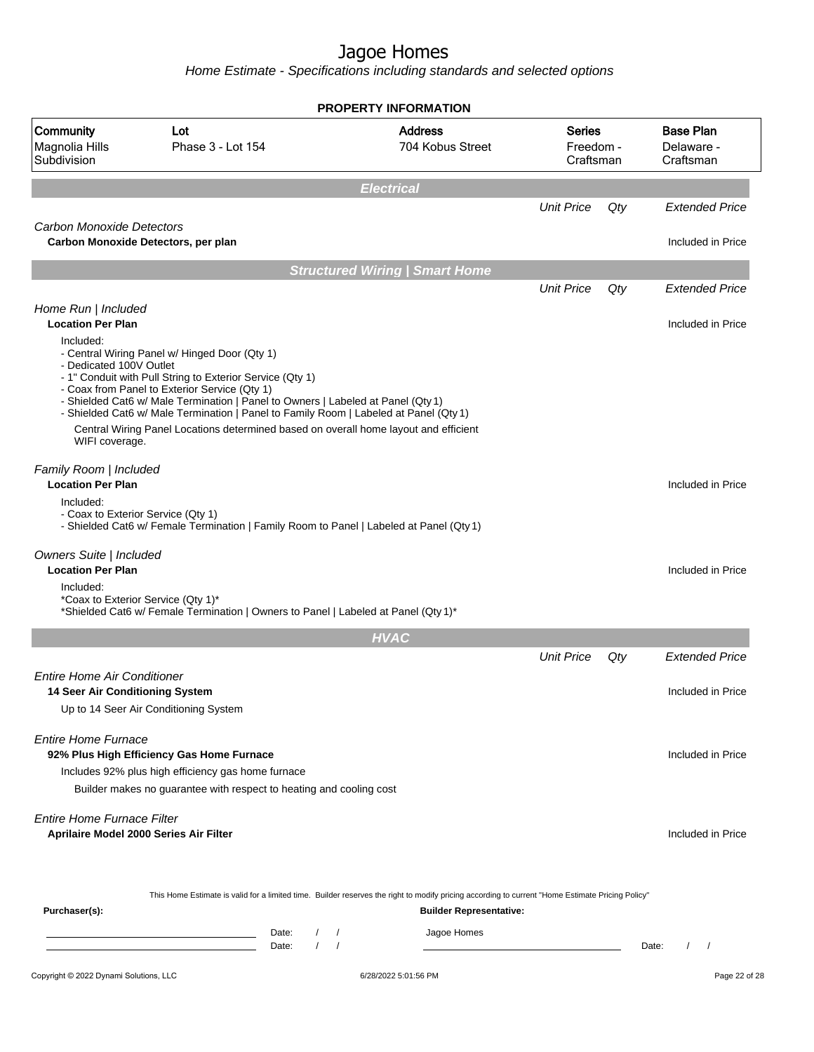|                                                                             |                                                                                                                                                                                                                                                                                                                                                                                                                                  | <b>PROPERTY INFORMATION</b>           |                                         |     |                                             |
|-----------------------------------------------------------------------------|----------------------------------------------------------------------------------------------------------------------------------------------------------------------------------------------------------------------------------------------------------------------------------------------------------------------------------------------------------------------------------------------------------------------------------|---------------------------------------|-----------------------------------------|-----|---------------------------------------------|
| <b>Community</b><br>Magnolia Hills<br>Subdivision                           | Lot<br>Phase 3 - Lot 154                                                                                                                                                                                                                                                                                                                                                                                                         | <b>Address</b><br>704 Kobus Street    | <b>Series</b><br>Freedom -<br>Craftsman |     | <b>Base Plan</b><br>Delaware -<br>Craftsman |
|                                                                             |                                                                                                                                                                                                                                                                                                                                                                                                                                  | <b>Electrical</b>                     |                                         |     |                                             |
|                                                                             |                                                                                                                                                                                                                                                                                                                                                                                                                                  |                                       | <b>Unit Price</b>                       | Qty | <b>Extended Price</b>                       |
| Carbon Monoxide Detectors                                                   | Carbon Monoxide Detectors, per plan                                                                                                                                                                                                                                                                                                                                                                                              |                                       |                                         |     | Included in Price                           |
|                                                                             |                                                                                                                                                                                                                                                                                                                                                                                                                                  | <b>Structured Wiring   Smart Home</b> |                                         |     |                                             |
|                                                                             |                                                                                                                                                                                                                                                                                                                                                                                                                                  |                                       | <b>Unit Price</b>                       | Qty | <b>Extended Price</b>                       |
| Home Run   Included                                                         |                                                                                                                                                                                                                                                                                                                                                                                                                                  |                                       |                                         |     |                                             |
| <b>Location Per Plan</b>                                                    |                                                                                                                                                                                                                                                                                                                                                                                                                                  |                                       |                                         |     | Included in Price                           |
| Included:<br>- Dedicated 100V Outlet<br>WIFI coverage.                      | - Central Wiring Panel w/ Hinged Door (Qty 1)<br>- 1" Conduit with Pull String to Exterior Service (Qty 1)<br>- Coax from Panel to Exterior Service (Qty 1)<br>- Shielded Cat6 w/ Male Termination   Panel to Owners   Labeled at Panel (Qty 1)<br>- Shielded Cat6 w/ Male Termination   Panel to Family Room   Labeled at Panel (Qty 1)<br>Central Wiring Panel Locations determined based on overall home layout and efficient |                                       |                                         |     |                                             |
| Family Room   Included<br><b>Location Per Plan</b>                          |                                                                                                                                                                                                                                                                                                                                                                                                                                  |                                       |                                         |     | Included in Price                           |
| Included:<br>- Coax to Exterior Service (Qty 1)                             | - Shielded Cat6 w/ Female Termination   Family Room to Panel   Labeled at Panel (Qty 1)                                                                                                                                                                                                                                                                                                                                          |                                       |                                         |     |                                             |
| Owners Suite   Included<br><b>Location Per Plan</b>                         |                                                                                                                                                                                                                                                                                                                                                                                                                                  |                                       |                                         |     | Included in Price                           |
| Included:<br>*Coax to Exterior Service (Qty 1)*                             | *Shielded Cat6 w/ Female Termination   Owners to Panel   Labeled at Panel (Qty 1)*                                                                                                                                                                                                                                                                                                                                               |                                       |                                         |     |                                             |
|                                                                             |                                                                                                                                                                                                                                                                                                                                                                                                                                  | <b>HVAC</b>                           |                                         |     |                                             |
|                                                                             |                                                                                                                                                                                                                                                                                                                                                                                                                                  |                                       | <b>Unit Price</b>                       | Qty | <b>Extended Price</b>                       |
| <b>Entire Home Air Conditioner</b>                                          |                                                                                                                                                                                                                                                                                                                                                                                                                                  |                                       |                                         |     |                                             |
| 14 Seer Air Conditioning System                                             |                                                                                                                                                                                                                                                                                                                                                                                                                                  |                                       |                                         |     | Included in Price                           |
|                                                                             | Up to 14 Seer Air Conditioning System                                                                                                                                                                                                                                                                                                                                                                                            |                                       |                                         |     |                                             |
| Entire Home Furnace                                                         | 92% Plus High Efficiency Gas Home Furnace                                                                                                                                                                                                                                                                                                                                                                                        |                                       |                                         |     | Included in Price                           |
|                                                                             | Includes 92% plus high efficiency gas home furnace                                                                                                                                                                                                                                                                                                                                                                               |                                       |                                         |     |                                             |
|                                                                             | Builder makes no guarantee with respect to heating and cooling cost                                                                                                                                                                                                                                                                                                                                                              |                                       |                                         |     |                                             |
| <b>Entire Home Furnace Filter</b><br>Aprilaire Model 2000 Series Air Filter |                                                                                                                                                                                                                                                                                                                                                                                                                                  |                                       |                                         |     | Included in Price                           |
| Purchaser(s):                                                               | This Home Estimate is valid for a limited time. Builder reserves the right to modify pricing according to current "Home Estimate Pricing Policy"                                                                                                                                                                                                                                                                                 | <b>Builder Representative:</b>        |                                         |     |                                             |
|                                                                             | Date:<br>Date:                                                                                                                                                                                                                                                                                                                                                                                                                   | Jagoe Homes<br>$\sqrt{ }$             |                                         |     | Date:<br>$\prime$<br>$\sqrt{ }$             |
| Copyright © 2022 Dynami Solutions, LLC                                      |                                                                                                                                                                                                                                                                                                                                                                                                                                  | 6/28/2022 5:01:56 PM                  |                                         |     | Page 22 of 28                               |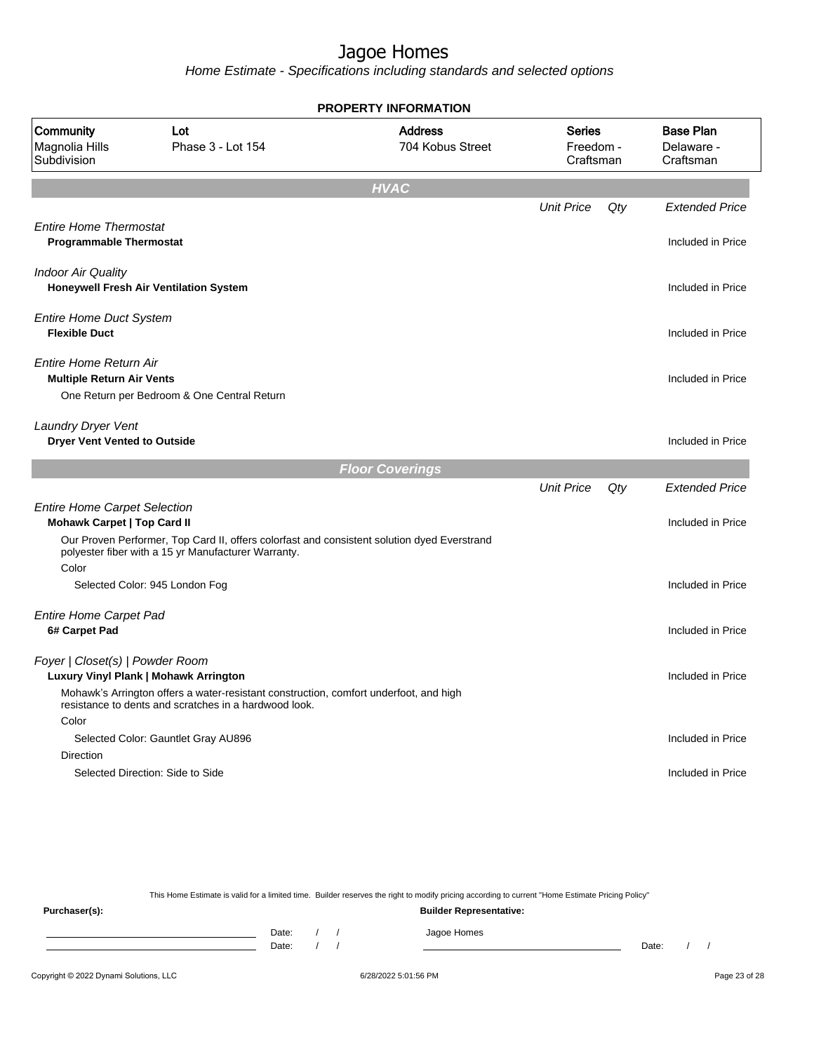**PROPERTY INFORMATION**

Home Estimate - Specifications including standards and selected options

| Community<br>Magnolia Hills<br>Subdivision                                | Lot<br>Phase 3 - Lot 154                                                                                                                           | <b>Address</b><br>704 Kobus Street | <b>Series</b><br>Freedom -<br>Craftsman |     | <b>Base Plan</b><br>Delaware -<br>Craftsman |
|---------------------------------------------------------------------------|----------------------------------------------------------------------------------------------------------------------------------------------------|------------------------------------|-----------------------------------------|-----|---------------------------------------------|
|                                                                           |                                                                                                                                                    | <b>HVAC</b>                        |                                         |     |                                             |
|                                                                           |                                                                                                                                                    |                                    | <b>Unit Price</b>                       | Qty | <b>Extended Price</b>                       |
| <b>Entire Home Thermostat</b><br><b>Programmable Thermostat</b>           |                                                                                                                                                    |                                    |                                         |     | Included in Price                           |
| <b>Indoor Air Quality</b>                                                 | Honeywell Fresh Air Ventilation System                                                                                                             |                                    |                                         |     | Included in Price                           |
| <b>Entire Home Duct System</b><br><b>Flexible Duct</b>                    |                                                                                                                                                    |                                    |                                         |     | Included in Price                           |
| Entire Home Return Air<br><b>Multiple Return Air Vents</b>                | One Return per Bedroom & One Central Return                                                                                                        |                                    |                                         |     | Included in Price                           |
| Laundry Dryer Vent<br><b>Dryer Vent Vented to Outside</b>                 |                                                                                                                                                    |                                    |                                         |     | Included in Price                           |
|                                                                           |                                                                                                                                                    | <b>Floor Coverings</b>             |                                         |     |                                             |
|                                                                           |                                                                                                                                                    |                                    | <b>Unit Price</b>                       | Qty | <b>Extended Price</b>                       |
| <b>Entire Home Carpet Selection</b><br><b>Mohawk Carpet   Top Card II</b> |                                                                                                                                                    |                                    |                                         |     | Included in Price                           |
|                                                                           | Our Proven Performer, Top Card II, offers colorfast and consistent solution dyed Everstrand<br>polyester fiber with a 15 yr Manufacturer Warranty. |                                    |                                         |     |                                             |
| Color                                                                     | Selected Color: 945 London Fog                                                                                                                     |                                    |                                         |     | Included in Price                           |
| <b>Entire Home Carpet Pad</b><br>6# Carpet Pad                            |                                                                                                                                                    |                                    |                                         |     | Included in Price                           |
| Foyer   Closet(s)   Powder Room                                           | Luxury Vinyl Plank   Mohawk Arrington                                                                                                              |                                    |                                         |     | Included in Price                           |
|                                                                           | Mohawk's Arrington offers a water-resistant construction, comfort underfoot, and high<br>resistance to dents and scratches in a hardwood look.     |                                    |                                         |     |                                             |
| Color                                                                     | Selected Color: Gauntlet Gray AU896                                                                                                                |                                    |                                         |     | Included in Price                           |
| <b>Direction</b>                                                          |                                                                                                                                                    |                                    |                                         |     |                                             |
|                                                                           | Selected Direction: Side to Side                                                                                                                   |                                    |                                         |     | Included in Price                           |
|                                                                           |                                                                                                                                                    |                                    |                                         |     |                                             |

This Home Estimate is valid for a limited time. Builder reserves the right to modify pricing according to current "Home Estimate Pricing Policy" **Purchaser(s): Builder Representative:** Date: / / Jagoe Homes<br>Date: / / Jagoe Homes Date: / / Date: / /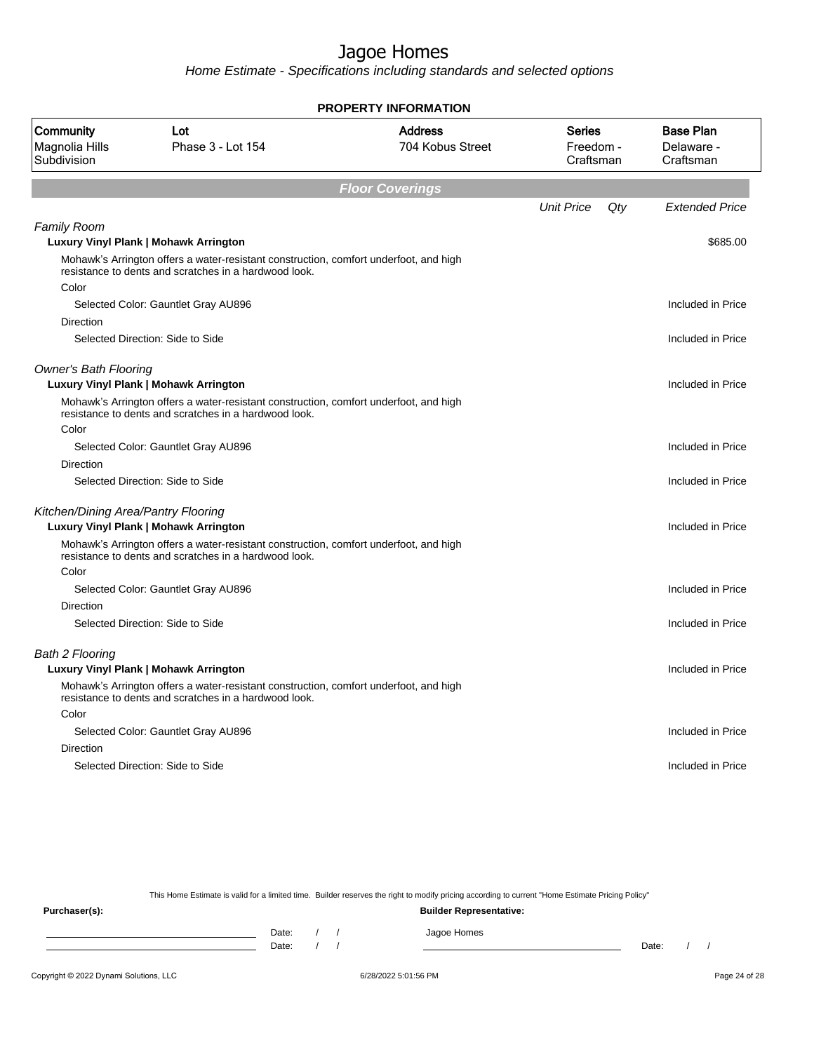Home Estimate - Specifications including standards and selected options

| <b>PROPERTY INFORMATION</b>                       |                                                                                                                                                |                                    |                                  |                                             |  |  |  |  |
|---------------------------------------------------|------------------------------------------------------------------------------------------------------------------------------------------------|------------------------------------|----------------------------------|---------------------------------------------|--|--|--|--|
| <b>Community</b><br>Magnolia Hills<br>Subdivision | Lot<br>Phase 3 - Lot 154                                                                                                                       | <b>Address</b><br>704 Kobus Street | Series<br>Freedom -<br>Craftsman | <b>Base Plan</b><br>Delaware -<br>Craftsman |  |  |  |  |
|                                                   |                                                                                                                                                | <b>Floor Coverings</b>             |                                  |                                             |  |  |  |  |
|                                                   |                                                                                                                                                |                                    | <b>Unit Price</b><br>Qty         | <b>Extended Price</b>                       |  |  |  |  |
| <b>Family Room</b>                                |                                                                                                                                                |                                    |                                  |                                             |  |  |  |  |
|                                                   | Luxury Vinyl Plank   Mohawk Arrington                                                                                                          |                                    |                                  | \$685.00                                    |  |  |  |  |
|                                                   | Mohawk's Arrington offers a water-resistant construction, comfort underfoot, and high<br>resistance to dents and scratches in a hardwood look. |                                    |                                  |                                             |  |  |  |  |
| Color                                             |                                                                                                                                                |                                    |                                  |                                             |  |  |  |  |
|                                                   | Selected Color: Gauntlet Gray AU896                                                                                                            |                                    |                                  | Included in Price                           |  |  |  |  |
| Direction                                         |                                                                                                                                                |                                    |                                  |                                             |  |  |  |  |
|                                                   | Selected Direction: Side to Side                                                                                                               |                                    |                                  | Included in Price                           |  |  |  |  |
| <b>Owner's Bath Flooring</b>                      | <b>Luxury Vinyl Plank   Mohawk Arrington</b>                                                                                                   |                                    |                                  | Included in Price                           |  |  |  |  |
|                                                   | Mohawk's Arrington offers a water-resistant construction, comfort underfoot, and high<br>resistance to dents and scratches in a hardwood look. |                                    |                                  |                                             |  |  |  |  |
| Color                                             |                                                                                                                                                |                                    |                                  |                                             |  |  |  |  |
|                                                   | Selected Color: Gauntlet Gray AU896                                                                                                            |                                    |                                  | Included in Price                           |  |  |  |  |
| Direction                                         |                                                                                                                                                |                                    |                                  |                                             |  |  |  |  |
|                                                   | Selected Direction: Side to Side                                                                                                               |                                    |                                  | Included in Price                           |  |  |  |  |
| Kitchen/Dining Area/Pantry Flooring               |                                                                                                                                                |                                    |                                  |                                             |  |  |  |  |
|                                                   | <b>Luxury Vinyl Plank   Mohawk Arrington</b>                                                                                                   |                                    |                                  | Included in Price                           |  |  |  |  |
|                                                   | Mohawk's Arrington offers a water-resistant construction, comfort underfoot, and high<br>resistance to dents and scratches in a hardwood look. |                                    |                                  |                                             |  |  |  |  |
| Color                                             |                                                                                                                                                |                                    |                                  |                                             |  |  |  |  |
|                                                   | Selected Color: Gauntlet Gray AU896                                                                                                            |                                    |                                  | Included in Price                           |  |  |  |  |
| <b>Direction</b>                                  |                                                                                                                                                |                                    |                                  |                                             |  |  |  |  |
|                                                   | Selected Direction: Side to Side                                                                                                               |                                    |                                  | Included in Price                           |  |  |  |  |
| <b>Bath 2 Flooring</b>                            |                                                                                                                                                |                                    |                                  |                                             |  |  |  |  |
|                                                   | Luxury Vinyl Plank   Mohawk Arrington                                                                                                          |                                    |                                  | Included in Price                           |  |  |  |  |
|                                                   | Mohawk's Arrington offers a water-resistant construction, comfort underfoot, and high<br>resistance to dents and scratches in a hardwood look. |                                    |                                  |                                             |  |  |  |  |
| Color                                             |                                                                                                                                                |                                    |                                  |                                             |  |  |  |  |
|                                                   | Selected Color: Gauntlet Gray AU896                                                                                                            |                                    |                                  | Included in Price                           |  |  |  |  |
| Direction                                         |                                                                                                                                                |                                    |                                  |                                             |  |  |  |  |
|                                                   | Selected Direction: Side to Side                                                                                                               |                                    |                                  | Included in Price                           |  |  |  |  |
|                                                   |                                                                                                                                                |                                    |                                  |                                             |  |  |  |  |

This Home Estimate is valid for a limited time. Builder reserves the right to modify pricing according to current "Home Estimate Pricing Policy"

**Purchaser(s): Builder Representative:** Date: / / Jagoe Homes<br>Date: / / Jagoe Homes Date: / / Date: / /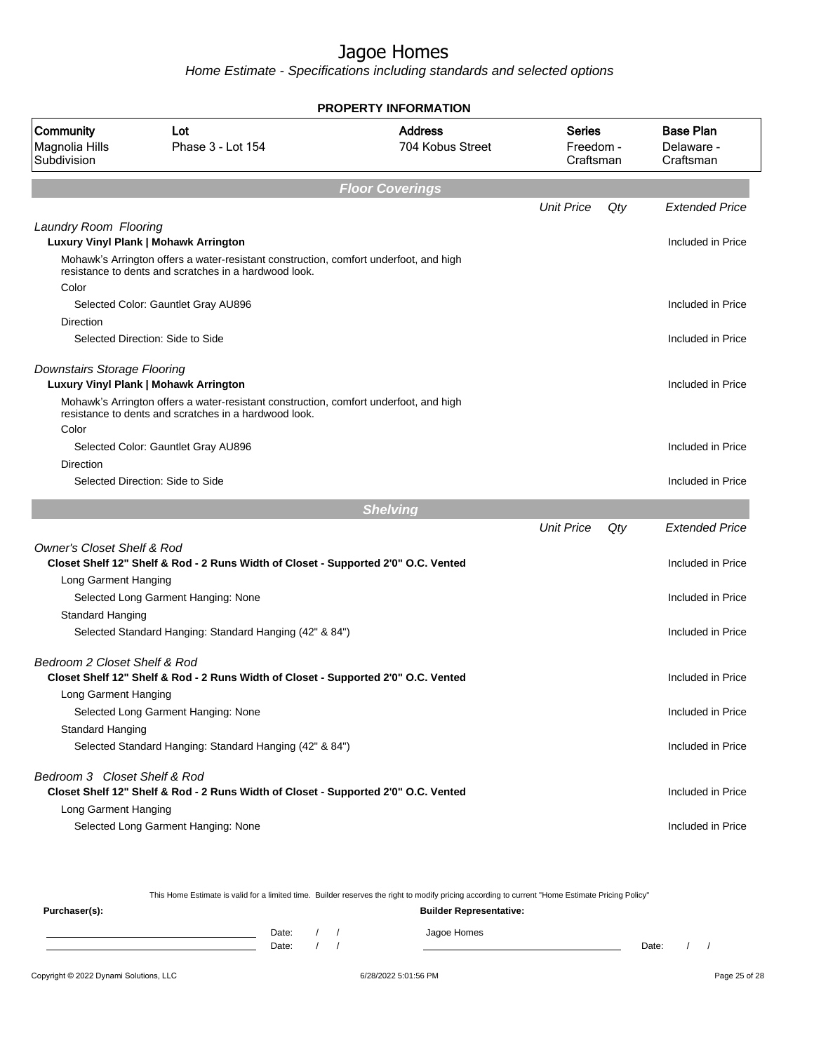Home Estimate - Specifications including standards and selected options

|                                            |                                                                                                                                                | <b>PROPERTY INFORMATION</b>        |                                  |     |                                             |
|--------------------------------------------|------------------------------------------------------------------------------------------------------------------------------------------------|------------------------------------|----------------------------------|-----|---------------------------------------------|
| Community<br>Magnolia Hills<br>Subdivision | Lot<br>Phase 3 - Lot 154                                                                                                                       | <b>Address</b><br>704 Kobus Street | Series<br>Freedom -<br>Craftsman |     | <b>Base Plan</b><br>Delaware -<br>Craftsman |
|                                            |                                                                                                                                                | <b>Floor Coverings</b>             |                                  |     |                                             |
|                                            |                                                                                                                                                |                                    | <b>Unit Price</b>                | Qty | <b>Extended Price</b>                       |
| Laundry Room Flooring                      |                                                                                                                                                |                                    |                                  |     |                                             |
|                                            | Luxury Vinyl Plank   Mohawk Arrington                                                                                                          |                                    |                                  |     | Included in Price                           |
| Color                                      | Mohawk's Arrington offers a water-resistant construction, comfort underfoot, and high<br>resistance to dents and scratches in a hardwood look. |                                    |                                  |     |                                             |
|                                            | Selected Color: Gauntlet Gray AU896                                                                                                            |                                    |                                  |     | Included in Price                           |
| Direction                                  |                                                                                                                                                |                                    |                                  |     |                                             |
|                                            | Selected Direction: Side to Side                                                                                                               |                                    |                                  |     | Included in Price                           |
|                                            |                                                                                                                                                |                                    |                                  |     |                                             |
| Downstairs Storage Flooring                | Luxury Vinyl Plank   Mohawk Arrington                                                                                                          |                                    |                                  |     | Included in Price                           |
|                                            | Mohawk's Arrington offers a water-resistant construction, comfort underfoot, and high                                                          |                                    |                                  |     |                                             |
|                                            | resistance to dents and scratches in a hardwood look.                                                                                          |                                    |                                  |     |                                             |
| Color                                      |                                                                                                                                                |                                    |                                  |     |                                             |
| Direction                                  | Selected Color: Gauntlet Gray AU896                                                                                                            |                                    |                                  |     | Included in Price                           |
|                                            | Selected Direction: Side to Side                                                                                                               |                                    |                                  |     | Included in Price                           |
|                                            |                                                                                                                                                |                                    |                                  |     |                                             |
|                                            |                                                                                                                                                | <b>Shelving</b>                    |                                  |     |                                             |
|                                            |                                                                                                                                                |                                    | <b>Unit Price</b>                | Qty | <b>Extended Price</b>                       |
| <b>Owner's Closet Shelf &amp; Rod</b>      | Closet Shelf 12" Shelf & Rod - 2 Runs Width of Closet - Supported 2'0" O.C. Vented                                                             |                                    |                                  |     | Included in Price                           |
| Long Garment Hanging                       |                                                                                                                                                |                                    |                                  |     |                                             |
|                                            | Selected Long Garment Hanging: None                                                                                                            |                                    |                                  |     | Included in Price                           |
| Standard Hanging                           |                                                                                                                                                |                                    |                                  |     | Included in Price                           |
|                                            | Selected Standard Hanging: Standard Hanging (42" & 84")                                                                                        |                                    |                                  |     |                                             |
| Bedroom 2 Closet Shelf & Rod               |                                                                                                                                                |                                    |                                  |     |                                             |
|                                            | Closet Shelf 12" Shelf & Rod - 2 Runs Width of Closet - Supported 2'0" O.C. Vented                                                             |                                    |                                  |     | Included in Price                           |
| Long Garment Hanging                       |                                                                                                                                                |                                    |                                  |     |                                             |
| Standard Hanging                           | Selected Long Garment Hanging: None                                                                                                            |                                    |                                  |     | Included in Price                           |
|                                            | Selected Standard Hanging: Standard Hanging (42" & 84")                                                                                        |                                    |                                  |     | Included in Price                           |
|                                            |                                                                                                                                                |                                    |                                  |     |                                             |
| Bedroom 3 Closet Shelf & Rod               |                                                                                                                                                |                                    |                                  |     |                                             |
|                                            | Closet Shelf 12" Shelf & Rod - 2 Runs Width of Closet - Supported 2'0" O.C. Vented                                                             |                                    |                                  |     | Included in Price                           |
| Long Garment Hanging                       | Selected Long Garment Hanging: None                                                                                                            |                                    |                                  |     | Included in Price                           |
|                                            |                                                                                                                                                |                                    |                                  |     |                                             |

This Home Estimate is valid for a limited time. Builder reserves the right to modify pricing according to current "Home Estimate Pricing Policy"

**Purchaser(s): Builder Representative:** Date: / / Jagoe Homes<br>Date: / / Jagoe Homes Date: / / Date: / /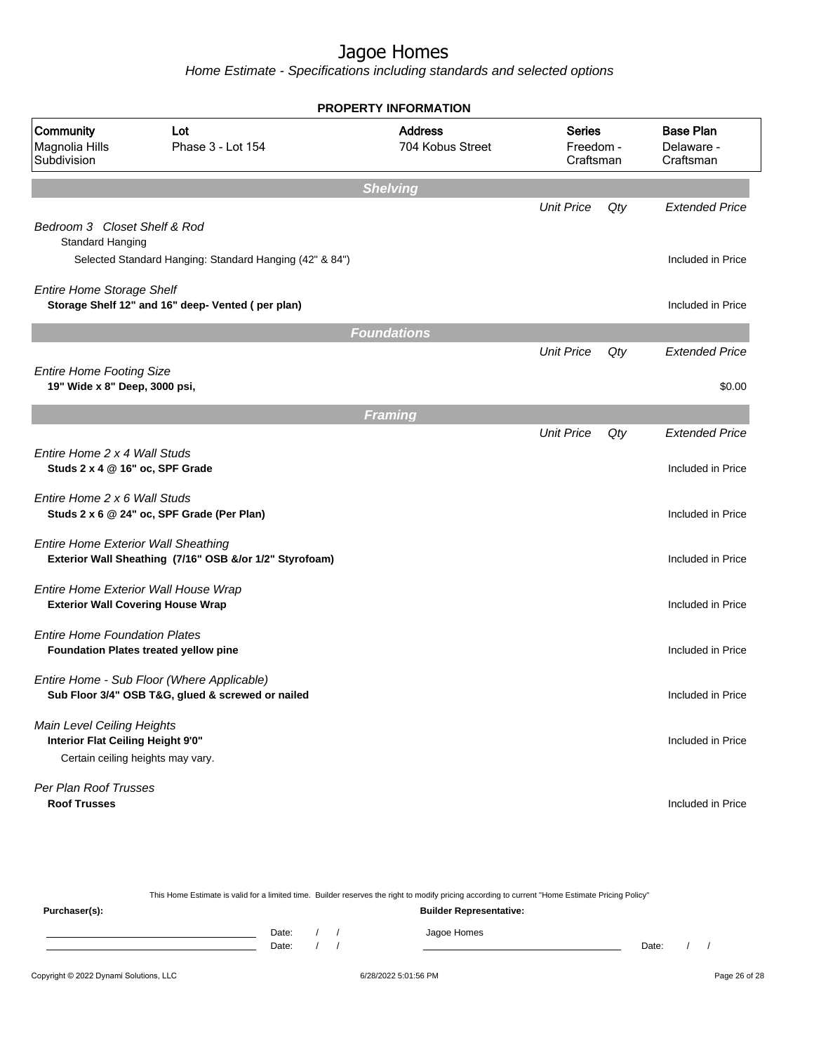|                                                                                                      |                                                                                                 | <b>PROPERTY INFORMATION</b>        |                                         |     |                                             |
|------------------------------------------------------------------------------------------------------|-------------------------------------------------------------------------------------------------|------------------------------------|-----------------------------------------|-----|---------------------------------------------|
| Community<br>Magnolia Hills<br>Subdivision                                                           | Lot<br>Phase 3 - Lot 154                                                                        | <b>Address</b><br>704 Kobus Street | <b>Series</b><br>Freedom -<br>Craftsman |     | <b>Base Plan</b><br>Delaware -<br>Craftsman |
|                                                                                                      |                                                                                                 | <b>Shelving</b>                    |                                         |     |                                             |
| Bedroom 3 Closet Shelf & Rod                                                                         |                                                                                                 |                                    | <b>Unit Price</b>                       | Qty | <b>Extended Price</b>                       |
| Standard Hanging                                                                                     |                                                                                                 |                                    |                                         |     |                                             |
|                                                                                                      | Selected Standard Hanging: Standard Hanging (42" & 84")                                         |                                    |                                         |     | Included in Price                           |
| <b>Entire Home Storage Shelf</b>                                                                     | Storage Shelf 12" and 16" deep- Vented (per plan)                                               |                                    |                                         |     | Included in Price                           |
|                                                                                                      |                                                                                                 | <b>Foundations</b>                 |                                         |     |                                             |
|                                                                                                      |                                                                                                 |                                    | <b>Unit Price</b>                       | Qty | <b>Extended Price</b>                       |
| <b>Entire Home Footing Size</b><br>19" Wide x 8" Deep, 3000 psi,                                     |                                                                                                 |                                    |                                         |     | \$0.00                                      |
|                                                                                                      |                                                                                                 | <b>Framing</b>                     |                                         |     |                                             |
|                                                                                                      |                                                                                                 |                                    | <b>Unit Price</b>                       | Qty | <b>Extended Price</b>                       |
| Entire Home 2 x 4 Wall Studs<br>Studs 2 x 4 @ 16" oc, SPF Grade                                      |                                                                                                 |                                    |                                         |     | Included in Price                           |
| Entire Home 2 x 6 Wall Studs                                                                         | Studs 2 x 6 @ 24" oc, SPF Grade (Per Plan)                                                      |                                    |                                         |     | Included in Price                           |
| <b>Entire Home Exterior Wall Sheathing</b>                                                           | Exterior Wall Sheathing (7/16" OSB &/or 1/2" Styrofoam)                                         |                                    |                                         |     | Included in Price                           |
| Entire Home Exterior Wall House Wrap<br><b>Exterior Wall Covering House Wrap</b>                     |                                                                                                 |                                    |                                         |     | Included in Price                           |
| <b>Entire Home Foundation Plates</b>                                                                 | Foundation Plates treated yellow pine                                                           |                                    |                                         |     | Included in Price                           |
|                                                                                                      | Entire Home - Sub Floor (Where Applicable)<br>Sub Floor 3/4" OSB T&G, glued & screwed or nailed |                                    |                                         |     | Included in Price                           |
| Main Level Ceiling Heights<br>Interior Flat Ceiling Height 9'0"<br>Certain ceiling heights may vary. |                                                                                                 |                                    |                                         |     | Included in Price                           |
| Per Plan Roof Trusses<br><b>Roof Trusses</b>                                                         |                                                                                                 |                                    |                                         |     | Included in Price                           |

| This Home Estimate is valid for a limited time. Builder reserves the right to modify pricing according to current "Home Estimate Pricing Policy" |                                |  |  |  |             |       |  |  |
|--------------------------------------------------------------------------------------------------------------------------------------------------|--------------------------------|--|--|--|-------------|-------|--|--|
| Purchaser(s):                                                                                                                                    | <b>Builder Representative:</b> |  |  |  |             |       |  |  |
|                                                                                                                                                  | Date:                          |  |  |  | Jagoe Homes |       |  |  |
|                                                                                                                                                  | Date:                          |  |  |  |             | Date: |  |  |
|                                                                                                                                                  |                                |  |  |  |             |       |  |  |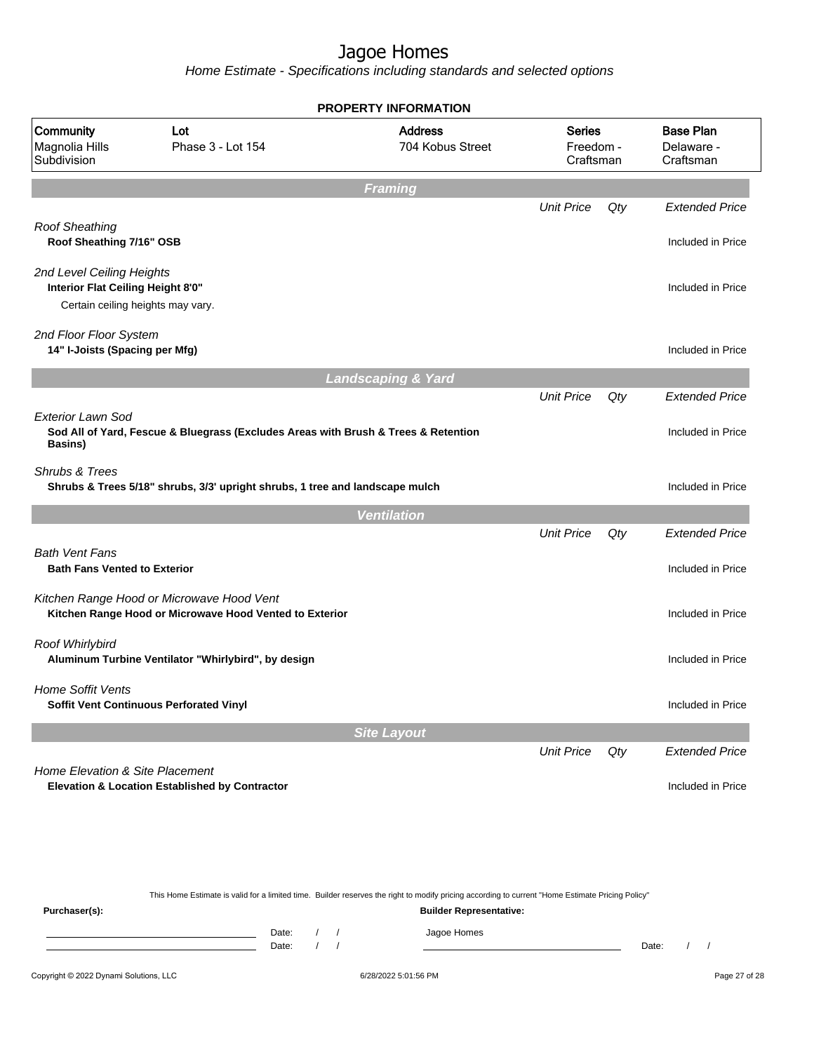|                                                                                                     |                                                                                                      | <b>PROPERTY INFORMATION</b>        |                                         |     |                                             |
|-----------------------------------------------------------------------------------------------------|------------------------------------------------------------------------------------------------------|------------------------------------|-----------------------------------------|-----|---------------------------------------------|
| Community<br>Magnolia Hills<br>Subdivision                                                          | Lot<br>Phase 3 - Lot 154                                                                             | <b>Address</b><br>704 Kobus Street | <b>Series</b><br>Freedom -<br>Craftsman |     | <b>Base Plan</b><br>Delaware -<br>Craftsman |
|                                                                                                     |                                                                                                      | Framing                            |                                         |     |                                             |
|                                                                                                     |                                                                                                      |                                    | <b>Unit Price</b>                       | Qty | <b>Extended Price</b>                       |
| <b>Roof Sheathing</b><br>Roof Sheathing 7/16" OSB                                                   |                                                                                                      |                                    |                                         |     | Included in Price                           |
| 2nd Level Ceiling Heights<br>Interior Flat Ceiling Height 8'0"<br>Certain ceiling heights may vary. |                                                                                                      |                                    |                                         |     | Included in Price                           |
| 2nd Floor Floor System<br>14" I-Joists (Spacing per Mfg)                                            |                                                                                                      |                                    |                                         |     | Included in Price                           |
|                                                                                                     |                                                                                                      | <b>Landscaping &amp; Yard</b>      |                                         |     |                                             |
|                                                                                                     |                                                                                                      |                                    | <b>Unit Price</b>                       | Qty | <b>Extended Price</b>                       |
| Exterior Lawn Sod<br>Basins)                                                                        | Sod All of Yard, Fescue & Bluegrass (Excludes Areas with Brush & Trees & Retention                   |                                    |                                         |     | Included in Price                           |
| Shrubs & Trees                                                                                      | Shrubs & Trees 5/18" shrubs, 3/3' upright shrubs, 1 tree and landscape mulch                         |                                    |                                         |     | Included in Price                           |
|                                                                                                     |                                                                                                      | <b>Ventilation</b>                 |                                         |     |                                             |
|                                                                                                     |                                                                                                      |                                    | <b>Unit Price</b>                       | Qty | <b>Extended Price</b>                       |
| <b>Bath Vent Fans</b><br><b>Bath Fans Vented to Exterior</b>                                        |                                                                                                      |                                    |                                         |     | Included in Price                           |
|                                                                                                     | Kitchen Range Hood or Microwave Hood Vent<br>Kitchen Range Hood or Microwave Hood Vented to Exterior |                                    |                                         |     | Included in Price                           |
| Roof Whirlybird                                                                                     | Aluminum Turbine Ventilator "Whirlybird", by design                                                  |                                    |                                         |     | Included in Price                           |
| <b>Home Soffit Vents</b>                                                                            | Soffit Vent Continuous Perforated Vinyl                                                              |                                    |                                         |     | Included in Price                           |
|                                                                                                     |                                                                                                      | <b>Site Layout</b>                 |                                         |     |                                             |
|                                                                                                     |                                                                                                      |                                    | <b>Unit Price</b>                       | Qty | <b>Extended Price</b>                       |
| Home Elevation & Site Placement                                                                     | Elevation & Location Established by Contractor                                                       |                                    |                                         |     | Included in Price                           |

|               | This Home Estimate is valid for a limited time. Builder reserves the right to modify pricing according to current "Home Estimate Pricing Policy" |  |  |  |             |       |  |  |  |  |
|---------------|--------------------------------------------------------------------------------------------------------------------------------------------------|--|--|--|-------------|-------|--|--|--|--|
| Purchaser(s): | <b>Builder Representative:</b>                                                                                                                   |  |  |  |             |       |  |  |  |  |
|               | Date:                                                                                                                                            |  |  |  | Jagoe Homes |       |  |  |  |  |
|               | Date:                                                                                                                                            |  |  |  |             | Date: |  |  |  |  |
|               |                                                                                                                                                  |  |  |  |             |       |  |  |  |  |